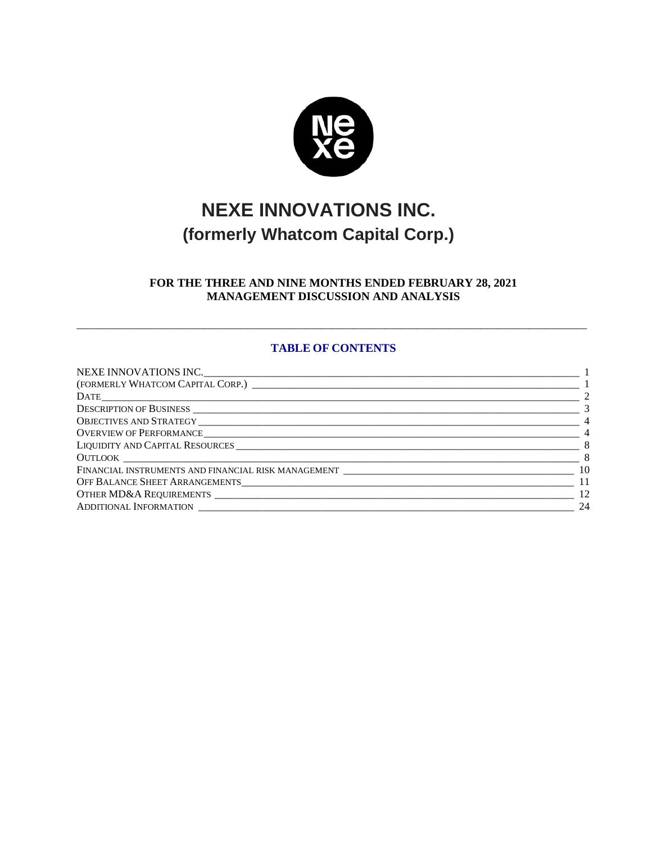

# **NEXE INNOVATIONS INC. (formerly Whatcom Capital Corp.)**

# <span id="page-0-1"></span><span id="page-0-0"></span>**FOR THE THREE AND NINE MONTHS ENDED FEBRUARY 28, 2021 MANAGEMENT DISCUSSION AND ANALYSIS**

# **TABLE OF CONTENTS**

 $\overline{a_1}$  ,  $\overline{a_2}$  ,  $\overline{a_3}$  ,  $\overline{a_4}$  ,  $\overline{a_5}$  ,  $\overline{a_6}$  ,  $\overline{a_7}$  ,  $\overline{a_8}$  ,  $\overline{a_9}$  ,  $\overline{a_9}$  ,  $\overline{a_9}$  ,  $\overline{a_9}$  ,  $\overline{a_9}$  ,  $\overline{a_9}$  ,  $\overline{a_9}$  ,  $\overline{a_9}$  ,  $\overline{a_9}$  ,

| $\sim$ 2        |
|-----------------|
| $\overline{3}$  |
| $\sim$ 4        |
| $\sim$ 4        |
| $\sim$ 8        |
| $\sim$ 8        |
|                 |
| $\overline{11}$ |
| 12              |
| 24              |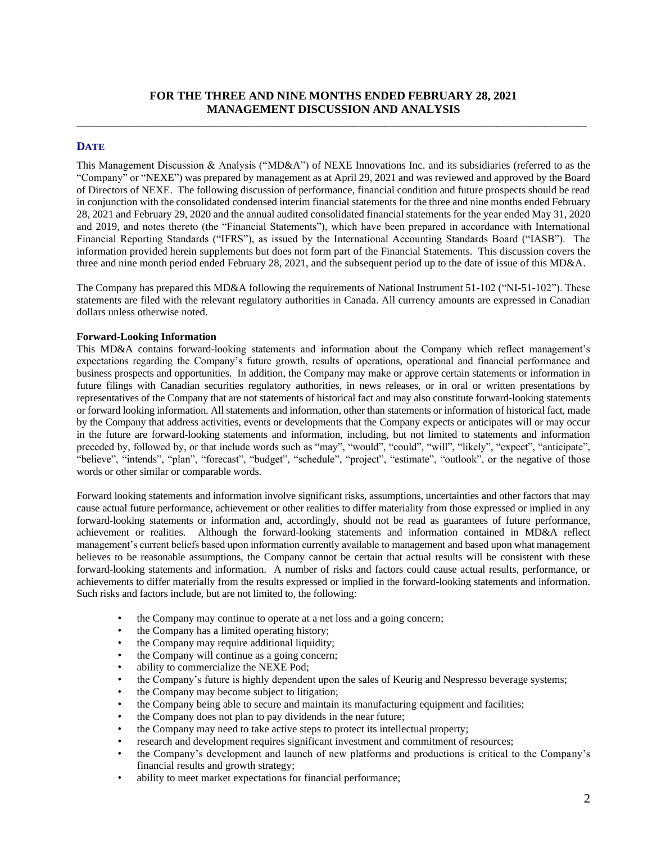# **FOR THE THREE AND NINE MONTHS ENDED FEBRUARY 28, 2021 MANAGEMENT DISCUSSION AND ANALYSIS**  $\overline{a_1}$  ,  $\overline{a_2}$  ,  $\overline{a_3}$  ,  $\overline{a_4}$  ,  $\overline{a_5}$  ,  $\overline{a_6}$  ,  $\overline{a_7}$  ,  $\overline{a_8}$  ,  $\overline{a_9}$  ,  $\overline{a_9}$  ,  $\overline{a_9}$  ,  $\overline{a_9}$  ,  $\overline{a_9}$  ,  $\overline{a_9}$  ,  $\overline{a_9}$  ,  $\overline{a_9}$  ,  $\overline{a_9}$  ,

# <span id="page-1-0"></span>**DATE**

This Management Discussion & Analysis ("MD&A") of NEXE Innovations Inc. and its subsidiaries (referred to as the "Company" or "NEXE") was prepared by management as at April 29, 2021 and was reviewed and approved by the Board of Directors of NEXE. The following discussion of performance, financial condition and future prospects should be read in conjunction with the consolidated condensed interim financial statements for the three and nine months ended February 28, 2021 and February 29, 2020 and the annual audited consolidated financial statements for the year ended May 31, 2020 and 2019, and notes thereto (the "Financial Statements"), which have been prepared in accordance with International Financial Reporting Standards ("IFRS"), as issued by the International Accounting Standards Board ("IASB"). The information provided herein supplements but does not form part of the Financial Statements. This discussion covers the three and nine month period ended February 28, 2021, and the subsequent period up to the date of issue of this MD&A.

The Company has prepared this MD&A following the requirements of National Instrument 51-102 ("NI-51-102"). These statements are filed with the relevant regulatory authorities in Canada. All currency amounts are expressed in Canadian dollars unless otherwise noted.

#### **Forward-Looking Information**

This MD&A contains forward-looking statements and information about the Company which reflect management's expectations regarding the Company's future growth, results of operations, operational and financial performance and business prospects and opportunities. In addition, the Company may make or approve certain statements or information in future filings with Canadian securities regulatory authorities, in news releases, or in oral or written presentations by representatives of the Company that are not statements of historical fact and may also constitute forward-looking statements or forward looking information. All statements and information, other than statements or information of historical fact, made by the Company that address activities, events or developments that the Company expects or anticipates will or may occur in the future are forward-looking statements and information, including, but not limited to statements and information preceded by, followed by, or that include words such as "may", "would", "could", "will", "likely", "expect", "anticipate", "believe", "intends", "plan", "forecast", "budget", "schedule", "project", "estimate", "outlook", or the negative of those words or other similar or comparable words.

Forward looking statements and information involve significant risks, assumptions, uncertainties and other factors that may cause actual future performance, achievement or other realities to differ materiality from those expressed or implied in any forward-looking statements or information and, accordingly, should not be read as guarantees of future performance, achievement or realities. Although the forward-looking statements and information contained in MD&A reflect management's current beliefs based upon information currently available to management and based upon what management believes to be reasonable assumptions, the Company cannot be certain that actual results will be consistent with these forward-looking statements and information. A number of risks and factors could cause actual results, performance, or achievements to differ materially from the results expressed or implied in the forward-looking statements and information. Such risks and factors include, but are not limited to, the following:

- the Company may continue to operate at a net loss and a going concern;
- the Company has a limited operating history;
- the Company may require additional liquidity;
- the Company will continue as a going concern;
- ability to commercialize the NEXE Pod;
- the Company's future is highly dependent upon the sales of Keurig and Nespresso beverage systems;
- the Company may become subject to litigation;
- the Company being able to secure and maintain its manufacturing equipment and facilities;
- the Company does not plan to pay dividends in the near future;
- the Company may need to take active steps to protect its intellectual property;
- research and development requires significant investment and commitment of resources;
- the Company's development and launch of new platforms and productions is critical to the Company's financial results and growth strategy;
- ability to meet market expectations for financial performance;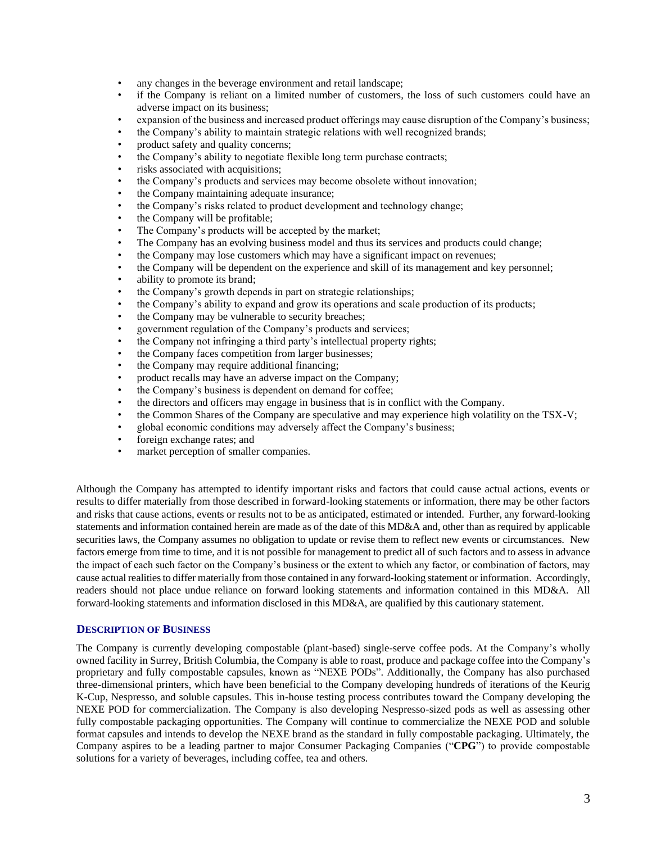- any changes in the beverage environment and retail landscape;
- if the Company is reliant on a limited number of customers, the loss of such customers could have an adverse impact on its business;
- expansion of the business and increased product offerings may cause disruption of the Company's business;
- the Company's ability to maintain strategic relations with well recognized brands;
- product safety and quality concerns;
- the Company's ability to negotiate flexible long term purchase contracts;
- risks associated with acquisitions;
- the Company's products and services may become obsolete without innovation;
- the Company maintaining adequate insurance;
- the Company's risks related to product development and technology change;
- the Company will be profitable;
- The Company's products will be accepted by the market;
- The Company has an evolving business model and thus its services and products could change;
- the Company may lose customers which may have a significant impact on revenues;
- the Company will be dependent on the experience and skill of its management and key personnel;
- ability to promote its brand;
- the Company's growth depends in part on strategic relationships;
- the Company's ability to expand and grow its operations and scale production of its products;
- the Company may be vulnerable to security breaches;
- government regulation of the Company's products and services;
- the Company not infringing a third party's intellectual property rights;
- the Company faces competition from larger businesses;
- the Company may require additional financing;
- product recalls may have an adverse impact on the Company;
- the Company's business is dependent on demand for coffee;
- the directors and officers may engage in business that is in conflict with the Company.
- the Common Shares of the Company are speculative and may experience high volatility on the TSX-V;
- global economic conditions may adversely affect the Company's business;
- foreign exchange rates; and
- market perception of smaller companies.

Although the Company has attempted to identify important risks and factors that could cause actual actions, events or results to differ materially from those described in forward-looking statements or information, there may be other factors and risks that cause actions, events or results not to be as anticipated, estimated or intended. Further, any forward-looking statements and information contained herein are made as of the date of this MD&A and, other than as required by applicable securities laws, the Company assumes no obligation to update or revise them to reflect new events or circumstances. New factors emerge from time to time, and it is not possible for management to predict all of such factors and to assess in advance the impact of each such factor on the Company's business or the extent to which any factor, or combination of factors, may cause actual realities to differ materially from those contained in any forward-looking statement or information. Accordingly, readers should not place undue reliance on forward looking statements and information contained in this MD&A. All forward-looking statements and information disclosed in this MD&A, are qualified by this cautionary statement.

## <span id="page-2-0"></span>**DESCRIPTION OF BUSINESS**

The Company is currently developing compostable (plant-based) single-serve coffee pods. At the Company's wholly owned facility in Surrey, British Columbia, the Company is able to roast, produce and package coffee into the Company's proprietary and fully compostable capsules, known as "NEXE PODs". Additionally, the Company has also purchased three-dimensional printers, which have been beneficial to the Company developing hundreds of iterations of the Keurig K-Cup, Nespresso, and soluble capsules. This in-house testing process contributes toward the Company developing the NEXE POD for commercialization. The Company is also developing Nespresso-sized pods as well as assessing other fully compostable packaging opportunities. The Company will continue to commercialize the NEXE POD and soluble format capsules and intends to develop the NEXE brand as the standard in fully compostable packaging. Ultimately, the Company aspires to be a leading partner to major Consumer Packaging Companies ("**CPG**") to provide compostable solutions for a variety of beverages, including coffee, tea and others.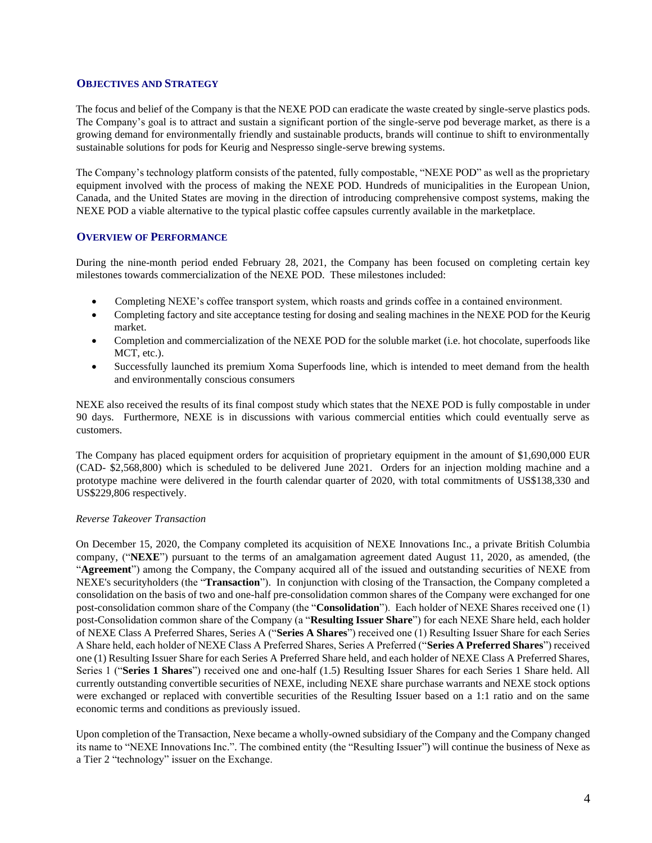#### <span id="page-3-0"></span>**OBJECTIVES AND STRATEGY**

The focus and belief of the Company is that the NEXE POD can eradicate the waste created by single-serve plastics pods. The Company's goal is to attract and sustain a significant portion of the single-serve pod beverage market, as there is a growing demand for environmentally friendly and sustainable products, brands will continue to shift to environmentally sustainable solutions for pods for Keurig and Nespresso single-serve brewing systems.

The Company's technology platform consists of the patented, fully compostable, "NEXE POD" as well as the proprietary equipment involved with the process of making the NEXE POD. Hundreds of municipalities in the European Union, Canada, and the United States are moving in the direction of introducing comprehensive compost systems, making the NEXE POD a viable alternative to the typical plastic coffee capsules currently available in the marketplace.

## <span id="page-3-1"></span>**OVERVIEW OF PERFORMANCE**

During the nine-month period ended February 28, 2021, the Company has been focused on completing certain key milestones towards commercialization of the NEXE POD. These milestones included:

- Completing NEXE's coffee transport system, which roasts and grinds coffee in a contained environment.
- Completing factory and site acceptance testing for dosing and sealing machines in the NEXE POD for the Keurig market.
- Completion and commercialization of the NEXE POD for the soluble market (i.e. hot chocolate, superfoods like MCT, etc.).
- Successfully launched its premium Xoma Superfoods line, which is intended to meet demand from the health and environmentally conscious consumers

NEXE also received the results of its final compost study which states that the NEXE POD is fully compostable in under 90 days. Furthermore, NEXE is in discussions with various commercial entities which could eventually serve as customers.

The Company has placed equipment orders for acquisition of proprietary equipment in the amount of \$1,690,000 EUR (CAD- \$2,568,800) which is scheduled to be delivered June 2021. Orders for an injection molding machine and a prototype machine were delivered in the fourth calendar quarter of 2020, with total commitments of US\$138,330 and US\$229,806 respectively.

## *Reverse Takeover Transaction*

On December 15, 2020, the Company completed its acquisition of NEXE Innovations Inc., a private British Columbia company, ("**NEXE**") pursuant to the terms of an amalgamation agreement dated August 11, 2020, as amended, (the "**Agreement**") among the Company, the Company acquired all of the issued and outstanding securities of NEXE from NEXE's securityholders (the "**Transaction**"). In conjunction with closing of the Transaction, the Company completed a consolidation on the basis of two and one-half pre-consolidation common shares of the Company were exchanged for one post-consolidation common share of the Company (the "**Consolidation**"). Each holder of NEXE Shares received one (1) post-Consolidation common share of the Company (a "**Resulting Issuer Share**") for each NEXE Share held, each holder of NEXE Class A Preferred Shares, Series A ("**Series A Shares**") received one (1) Resulting Issuer Share for each Series A Share held, each holder of NEXE Class A Preferred Shares, Series A Preferred ("**Series A Preferred Shares**") received one (1) Resulting Issuer Share for each Series A Preferred Share held, and each holder of NEXE Class A Preferred Shares, Series 1 ("**Series 1 Shares**") received one and one-half (1.5) Resulting Issuer Shares for each Series 1 Share held. All currently outstanding convertible securities of NEXE, including NEXE share purchase warrants and NEXE stock options were exchanged or replaced with convertible securities of the Resulting Issuer based on a 1:1 ratio and on the same economic terms and conditions as previously issued.

Upon completion of the Transaction, Nexe became a wholly-owned subsidiary of the Company and the Company changed its name to "NEXE Innovations Inc.". The combined entity (the "Resulting Issuer") will continue the business of Nexe as a Tier 2 "technology" issuer on the Exchange.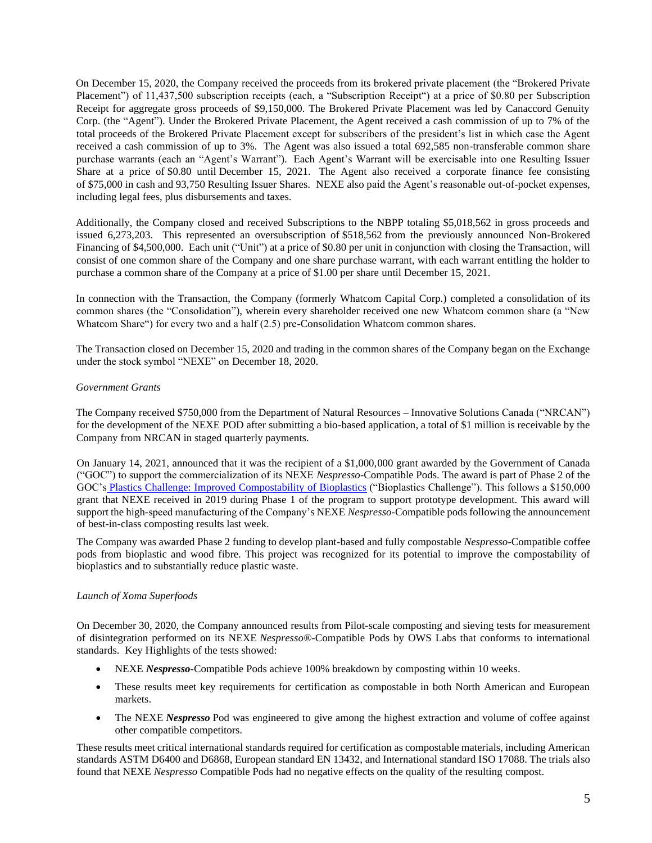On December 15, 2020, the Company received the proceeds from its brokered private placement (the "Brokered Private Placement") of 11,437,500 subscription receipts (each, a "Subscription Receipt") at a price of \$0.80 per Subscription Receipt for aggregate gross proceeds of \$9,150,000. The Brokered Private Placement was led by Canaccord Genuity Corp. (the "Agent"). Under the Brokered Private Placement, the Agent received a cash commission of up to 7% of the total proceeds of the Brokered Private Placement except for subscribers of the president's list in which case the Agent received a cash commission of up to 3%. The Agent was also issued a total 692,585 non-transferable common share purchase warrants (each an "Agent's Warrant"). Each Agent's Warrant will be exercisable into one Resulting Issuer Share at a price of \$0.80 until December 15, 2021. The Agent also received a corporate finance fee consisting of \$75,000 in cash and 93,750 Resulting Issuer Shares. NEXE also paid the Agent's reasonable out-of-pocket expenses, including legal fees, plus disbursements and taxes.

Additionally, the Company closed and received Subscriptions to the NBPP totaling \$5,018,562 in gross proceeds and issued 6,273,203. This represented an oversubscription of \$518,562 from the previously announced Non-Brokered Financing of \$4,500,000. Each unit ("Unit") at a price of \$0.80 per unit in conjunction with closing the Transaction, will consist of one common share of the Company and one share purchase warrant, with each warrant entitling the holder to purchase a common share of the Company at a price of \$1.00 per share until December 15, 2021.

In connection with the Transaction, the Company (formerly Whatcom Capital Corp.) completed a consolidation of its common shares (the "Consolidation"), wherein every shareholder received one new Whatcom common share (a "New Whatcom Share") for every two and a half (2.5) pre-Consolidation Whatcom common shares.

The Transaction closed on December 15, 2020 and trading in the common shares of the Company began on the Exchange under the stock symbol "NEXE" on December 18, 2020.

## *Government Grants*

The Company received \$750,000 from the Department of Natural Resources – Innovative Solutions Canada ("NRCAN") for the development of the NEXE POD after submitting a bio-based application, a total of \$1 million is receivable by the Company from NRCAN in staged quarterly payments.

On January 14, 2021, announced that it was the recipient of a \$1,000,000 grant awarded by the Government of Canada ("GOC") to support the commercialization of its NEXE *Nespresso*-Compatible Pods. The award is part of Phase 2 of the GOC's Plastics Challenge: [Improved Compostability of Bioplastics](https://www.ic.gc.ca/eic/site/101.nsf/eng/00038.html) ("Bioplastics Challenge"). This follows a \$150,000 grant that NEXE received in 2019 during Phase 1 of the program to support prototype development. This award will support the high-speed manufacturing of the Company's NEXE *Nespresso*-Compatible pods following the announcement of best-in-class composting results last week.

The Company was awarded Phase 2 funding to develop plant-based and fully compostable *Nespresso*-Compatible coffee pods from bioplastic and wood fibre. This project was recognized for its potential to improve the compostability of bioplastics and to substantially reduce plastic waste.

## *Launch of Xoma Superfoods*

On December 30, 2020, the Company announced results from Pilot-scale composting and sieving tests for measurement of disintegration performed on its NEXE *Nespresso®*-Compatible Pods by OWS Labs that conforms to international standards. Key Highlights of the tests showed:

- NEXE *Nespresso*-Compatible Pods achieve 100% breakdown by composting within 10 weeks.
- These results meet key requirements for certification as compostable in both North American and European markets.
- The NEXE *Nespresso* Pod was engineered to give among the highest extraction and volume of coffee against other compatible competitors.

These results meet critical international standards required for certification as compostable materials, including American standards ASTM D6400 and D6868, European standard EN 13432, and International standard ISO 17088. The trials also found that NEXE *Nespresso* Compatible Pods had no negative effects on the quality of the resulting compost.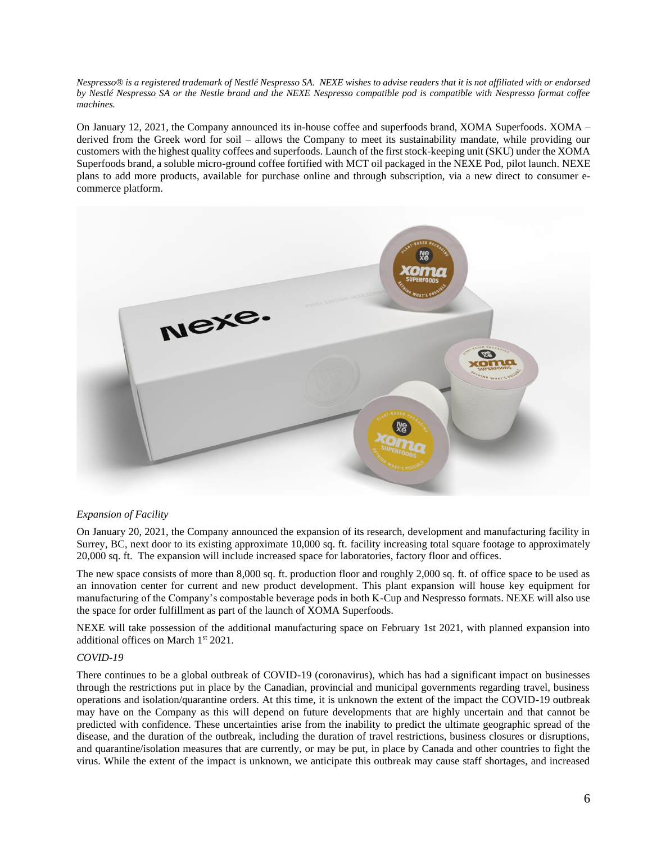*Nespresso® is a registered trademark of Nestlé Nespresso SA. NEXE wishes to advise readers that it is not affiliated with or endorsed by Nestlé Nespresso SA or the Nestle brand and the NEXE Nespresso compatible pod is compatible with Nespresso format coffee machines.* 

On January 12, 2021, the Company announced its in-house coffee and superfoods brand, XOMA Superfoods. XOMA – derived from the Greek word for soil – allows the Company to meet its sustainability mandate, while providing our customers with the highest quality coffees and superfoods. Launch of the first stock-keeping unit (SKU) under the XOMA Superfoods brand, a soluble micro-ground coffee fortified with MCT oil packaged in the NEXE Pod, pilot launch. NEXE plans to add more products, available for purchase online and through subscription, via a new direct to consumer ecommerce platform.



#### *Expansion of Facility*

On January 20, 2021, the Company announced the expansion of its research, development and manufacturing facility in Surrey, BC, next door to its existing approximate 10,000 sq. ft. facility increasing total square footage to approximately 20,000 sq. ft. The expansion will include increased space for laboratories, factory floor and offices.

The new space consists of more than 8,000 sq. ft. production floor and roughly 2,000 sq. ft. of office space to be used as an innovation center for current and new product development. This plant expansion will house key equipment for manufacturing of the Company's compostable beverage pods in both K-Cup and Nespresso formats. NEXE will also use the space for order fulfillment as part of the launch of XOMA Superfoods.

NEXE will take possession of the additional manufacturing space on February 1st 2021, with planned expansion into additional offices on March 1st 2021.

#### *COVID-19*

There continues to be a global outbreak of COVID-19 (coronavirus), which has had a significant impact on businesses through the restrictions put in place by the Canadian, provincial and municipal governments regarding travel, business operations and isolation/quarantine orders. At this time, it is unknown the extent of the impact the COVID-19 outbreak may have on the Company as this will depend on future developments that are highly uncertain and that cannot be predicted with confidence. These uncertainties arise from the inability to predict the ultimate geographic spread of the disease, and the duration of the outbreak, including the duration of travel restrictions, business closures or disruptions, and quarantine/isolation measures that are currently, or may be put, in place by Canada and other countries to fight the virus. While the extent of the impact is unknown, we anticipate this outbreak may cause staff shortages, and increased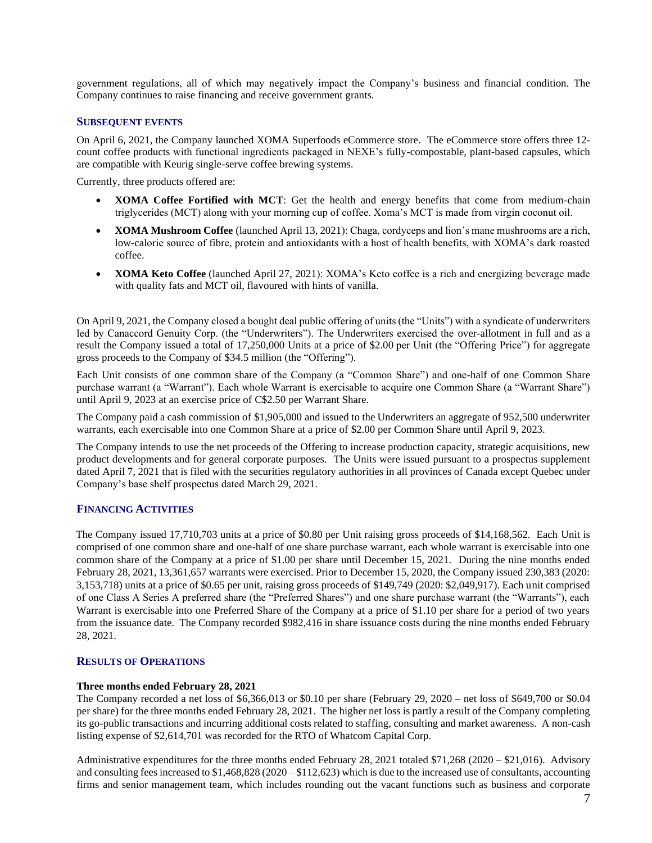government regulations, all of which may negatively impact the Company's business and financial condition. The Company continues to raise financing and receive government grants.

#### **SUBSEQUENT EVENTS**

On April 6, 2021, the Company launched XOMA Superfoods eCommerce store. The eCommerce store offers three 12 count coffee products with functional ingredients packaged in NEXE's fully-compostable, plant-based capsules, which are compatible with Keurig single-serve coffee brewing systems.

Currently, three products offered are:

- **XOMA Coffee Fortified with MCT**: Get the health and energy benefits that come from medium-chain triglycerides (MCT) along with your morning cup of coffee. Xoma's MCT is made from virgin coconut oil.
- **XOMA Mushroom Coffee** (launched April 13, 2021): Chaga, cordyceps and lion's mane mushrooms are a rich, low-calorie source of fibre, protein and antioxidants with a host of health benefits, with XOMA's dark roasted coffee.
- **XOMA Keto Coffee** (launched April 27, 2021): XOMA's Keto coffee is a rich and energizing beverage made with quality fats and MCT oil, flavoured with hints of vanilla.

On April 9, 2021, the Company closed a bought deal public offering of units (the "Units") with a syndicate of underwriters led by Canaccord Genuity Corp. (the "Underwriters"). The Underwriters exercised the over-allotment in full and as a result the Company issued a total of 17,250,000 Units at a price of \$2.00 per Unit (the "Offering Price") for aggregate gross proceeds to the Company of \$34.5 million (the "Offering").

Each Unit consists of one common share of the Company (a "Common Share") and one-half of one Common Share purchase warrant (a "Warrant"). Each whole Warrant is exercisable to acquire one Common Share (a "Warrant Share") until April 9, 2023 at an exercise price of C\$2.50 per Warrant Share.

The Company paid a cash commission of \$1,905,000 and issued to the Underwriters an aggregate of 952,500 underwriter warrants, each exercisable into one Common Share at a price of \$2.00 per Common Share until April 9, 2023.

The Company intends to use the net proceeds of the Offering to increase production capacity, strategic acquisitions, new product developments and for general corporate purposes. The Units were issued pursuant to a prospectus supplement dated April 7, 2021 that is filed with the securities regulatory authorities in all provinces of Canada except Quebec under Company's base shelf prospectus dated March 29, 2021.

## **FINANCING ACTIVITIES**

The Company issued 17,710,703 units at a price of \$0.80 per Unit raising gross proceeds of \$14,168,562. Each Unit is comprised of one common share and one-half of one share purchase warrant, each whole warrant is exercisable into one common share of the Company at a price of \$1.00 per share until December 15, 2021. During the nine months ended February 28, 2021, 13,361,657 warrants were exercised. Prior to December 15, 2020, the Company issued 230,383 (2020: 3,153,718) units at a price of \$0.65 per unit, raising gross proceeds of \$149,749 (2020: \$2,049,917). Each unit comprised of one Class A Series A preferred share (the "Preferred Shares") and one share purchase warrant (the "Warrants"), each Warrant is exercisable into one Preferred Share of the Company at a price of \$1.10 per share for a period of two years from the issuance date. The Company recorded \$982,416 in share issuance costs during the nine months ended February 28, 2021.

## **RESULTS OF OPERATIONS**

## **Three months ended February 28, 2021**

The Company recorded a net loss of \$6,366,013 or \$0.10 per share (February 29, 2020 – net loss of \$649,700 or \$0.04 per share) for the three months ended February 28, 2021. The higher net loss is partly a result of the Company completing its go-public transactions and incurring additional costs related to staffing, consulting and market awareness. A non-cash listing expense of \$2,614,701 was recorded for the RTO of Whatcom Capital Corp.

Administrative expenditures for the three months ended February 28, 2021 totaled  $$71,268$  (2020 – \$21,016). Advisory and consulting fees increased to  $$1,468,828$  (2020 –  $$112,623$ ) which is due to the increased use of consultants, accounting firms and senior management team, which includes rounding out the vacant functions such as business and corporate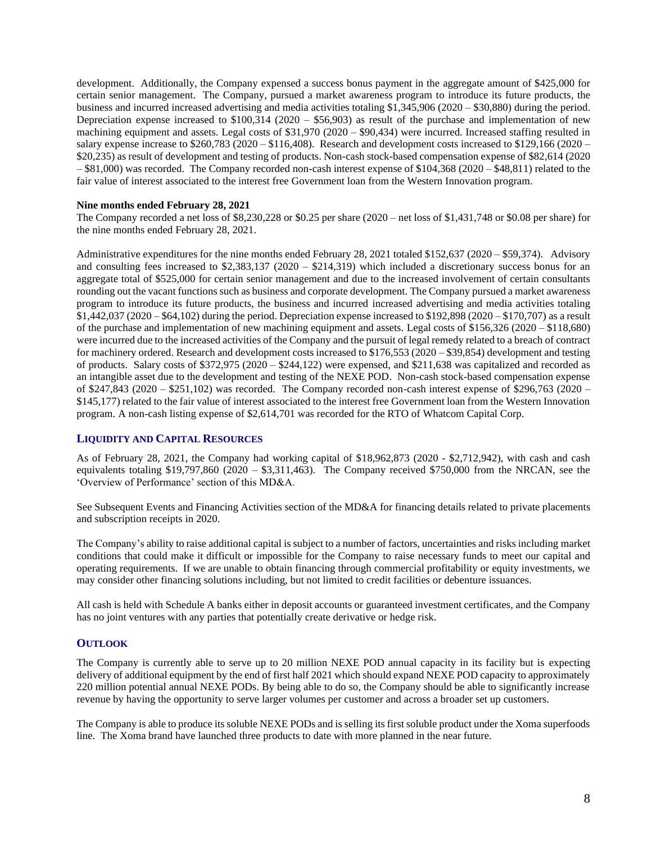development. Additionally, the Company expensed a success bonus payment in the aggregate amount of \$425,000 for certain senior management. The Company, pursued a market awareness program to introduce its future products, the business and incurred increased advertising and media activities totaling \$1,345,906 (2020 – \$30,880) during the period. Depreciation expense increased to \$100,314 (2020 – \$56,903) as result of the purchase and implementation of new machining equipment and assets. Legal costs of \$31,970 (2020 – \$90,434) were incurred. Increased staffing resulted in salary expense increase to \$260,783 (2020 – \$116,408). Research and development costs increased to \$129,166 (2020 – \$20,235) as result of development and testing of products. Non-cash stock-based compensation expense of \$82,614 (2020  $-$  \$81,000) was recorded. The Company recorded non-cash interest expense of \$104,368 (2020 – \$48,811) related to the fair value of interest associated to the interest free Government loan from the Western Innovation program.

#### **Nine months ended February 28, 2021**

The Company recorded a net loss of \$8,230,228 or \$0.25 per share (2020 – net loss of \$1,431,748 or \$0.08 per share) for the nine months ended February 28, 2021.

Administrative expenditures for the nine months ended February 28, 2021 totaled \$152,637 (2020 – \$59,374). Advisory and consulting fees increased to \$2,383,137 (2020 – \$214,319) which included a discretionary success bonus for an aggregate total of \$525,000 for certain senior management and due to the increased involvement of certain consultants rounding out the vacant functions such as business and corporate development. The Company pursued a market awareness program to introduce its future products, the business and incurred increased advertising and media activities totaling \$1,442,037 (2020 – \$64,102) during the period. Depreciation expense increased to \$192,898 (2020 – \$170,707) as a result of the purchase and implementation of new machining equipment and assets. Legal costs of \$156,326 (2020 – \$118,680) were incurred due to the increased activities of the Company and the pursuit of legal remedy related to a breach of contract for machinery ordered. Research and development costs increased to \$176,553 (2020 – \$39,854) development and testing of products. Salary costs of  $$372,975 (2020 - $244,122)$  were expensed, and  $$211,638$  was capitalized and recorded as an intangible asset due to the development and testing of the NEXE POD. Non-cash stock-based compensation expense of \$247,843 (2020 – \$251,102) was recorded. The Company recorded non-cash interest expense of \$296,763 (2020 – \$145,177) related to the fair value of interest associated to the interest free Government loan from the Western Innovation program. A non-cash listing expense of \$2,614,701 was recorded for the RTO of Whatcom Capital Corp.

## <span id="page-7-0"></span>**LIQUIDITY AND CAPITAL RESOURCES**

As of February 28, 2021, the Company had working capital of \$18,962,873 (2020 - \$2,712,942), with cash and cash equivalents totaling  $$19,797,860 (2020 - $3,311,463)$ . The Company received \$750,000 from the NRCAN, see the 'Overview of Performance' section of this MD&A.

See Subsequent Events and Financing Activities section of the MD&A for financing details related to private placements and subscription receipts in 2020.

The Company's ability to raise additional capital is subject to a number of factors, uncertainties and risks including market conditions that could make it difficult or impossible for the Company to raise necessary funds to meet our capital and operating requirements. If we are unable to obtain financing through commercial profitability or equity investments, we may consider other financing solutions including, but not limited to credit facilities or debenture issuances.

All cash is held with Schedule A banks either in deposit accounts or guaranteed investment certificates, and the Company has no joint ventures with any parties that potentially create derivative or hedge risk.

## <span id="page-7-1"></span>**OUTLOOK**

The Company is currently able to serve up to 20 million NEXE POD annual capacity in its facility but is expecting delivery of additional equipment by the end of first half 2021 which should expand NEXE POD capacity to approximately 220 million potential annual NEXE PODs. By being able to do so, the Company should be able to significantly increase revenue by having the opportunity to serve larger volumes per customer and across a broader set up customers.

The Company is able to produce its soluble NEXE PODs and is selling its first soluble product under the Xoma superfoods line. The Xoma brand have launched three products to date with more planned in the near future.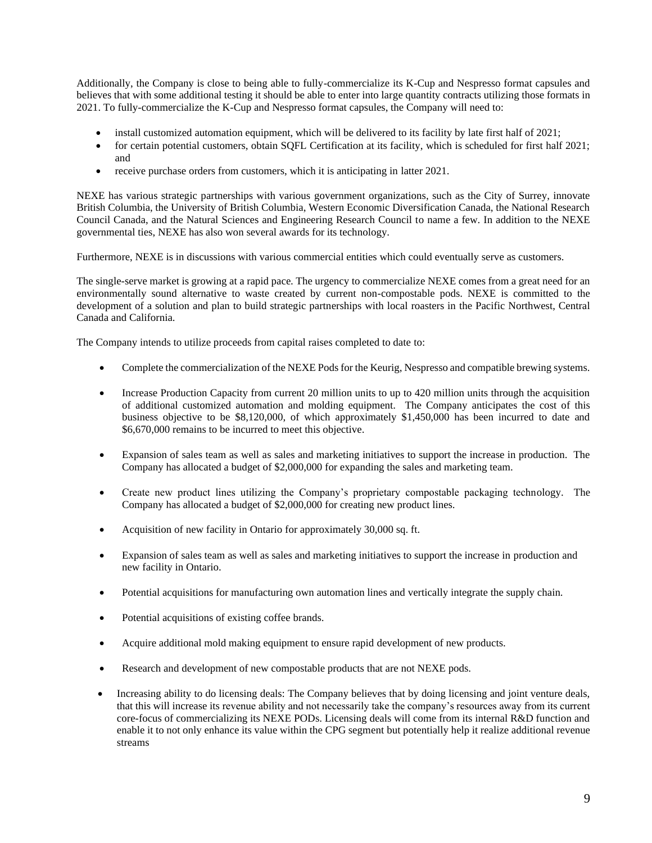Additionally, the Company is close to being able to fully-commercialize its K-Cup and Nespresso format capsules and believes that with some additional testing it should be able to enter into large quantity contracts utilizing those formats in 2021. To fully-commercialize the K-Cup and Nespresso format capsules, the Company will need to:

- install customized automation equipment, which will be delivered to its facility by late first half of 2021;
- for certain potential customers, obtain SQFL Certification at its facility, which is scheduled for first half 2021; and
- receive purchase orders from customers, which it is anticipating in latter 2021.

NEXE has various strategic partnerships with various government organizations, such as the City of Surrey, innovate British Columbia, the University of British Columbia, Western Economic Diversification Canada, the National Research Council Canada, and the Natural Sciences and Engineering Research Council to name a few. In addition to the NEXE governmental ties, NEXE has also won several awards for its technology.

Furthermore, NEXE is in discussions with various commercial entities which could eventually serve as customers.

The single-serve market is growing at a rapid pace. The urgency to commercialize NEXE comes from a great need for an environmentally sound alternative to waste created by current non-compostable pods. NEXE is committed to the development of a solution and plan to build strategic partnerships with local roasters in the Pacific Northwest, Central Canada and California.

The Company intends to utilize proceeds from capital raises completed to date to:

- Complete the commercialization of the NEXE Pods for the Keurig, Nespresso and compatible brewing systems.
- Increase Production Capacity from current 20 million units to up to 420 million units through the acquisition of additional customized automation and molding equipment. The Company anticipates the cost of this business objective to be \$8,120,000, of which approximately \$1,450,000 has been incurred to date and \$6,670,000 remains to be incurred to meet this objective.
- Expansion of sales team as well as sales and marketing initiatives to support the increase in production. The Company has allocated a budget of \$2,000,000 for expanding the sales and marketing team.
- Create new product lines utilizing the Company's proprietary compostable packaging technology. The Company has allocated a budget of \$2,000,000 for creating new product lines.
- Acquisition of new facility in Ontario for approximately 30,000 sq. ft.
- Expansion of sales team as well as sales and marketing initiatives to support the increase in production and new facility in Ontario.
- Potential acquisitions for manufacturing own automation lines and vertically integrate the supply chain.
- Potential acquisitions of existing coffee brands.
- Acquire additional mold making equipment to ensure rapid development of new products.
- Research and development of new compostable products that are not NEXE pods.
- Increasing ability to do licensing deals: The Company believes that by doing licensing and joint venture deals, that this will increase its revenue ability and not necessarily take the company's resources away from its current core-focus of commercializing its NEXE PODs. Licensing deals will come from its internal R&D function and enable it to not only enhance its value within the CPG segment but potentially help it realize additional revenue streams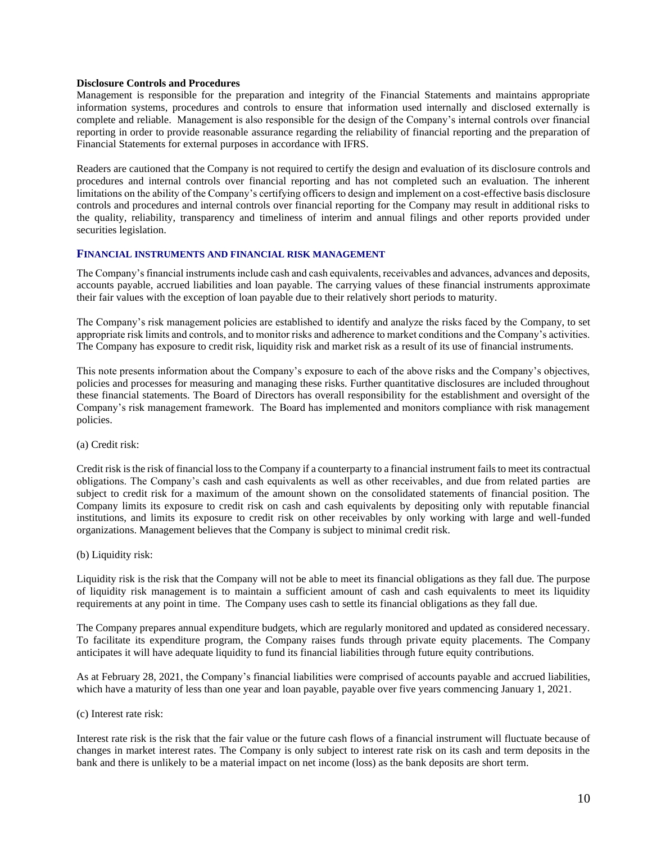#### **Disclosure Controls and Procedures**

Management is responsible for the preparation and integrity of the Financial Statements and maintains appropriate information systems, procedures and controls to ensure that information used internally and disclosed externally is complete and reliable. Management is also responsible for the design of the Company's internal controls over financial reporting in order to provide reasonable assurance regarding the reliability of financial reporting and the preparation of Financial Statements for external purposes in accordance with IFRS.

Readers are cautioned that the Company is not required to certify the design and evaluation of its disclosure controls and procedures and internal controls over financial reporting and has not completed such an evaluation. The inherent limitations on the ability of the Company's certifying officers to design and implement on a cost-effective basis disclosure controls and procedures and internal controls over financial reporting for the Company may result in additional risks to the quality, reliability, transparency and timeliness of interim and annual filings and other reports provided under securities legislation.

## <span id="page-9-0"></span>**FINANCIAL INSTRUMENTS AND FINANCIAL RISK MANAGEMENT**

The Company's financial instruments include cash and cash equivalents, receivables and advances, advances and deposits, accounts payable, accrued liabilities and loan payable. The carrying values of these financial instruments approximate their fair values with the exception of loan payable due to their relatively short periods to maturity.

The Company's risk management policies are established to identify and analyze the risks faced by the Company, to set appropriate risk limits and controls, and to monitor risks and adherence to market conditions and the Company's activities. The Company has exposure to credit risk, liquidity risk and market risk as a result of its use of financial instruments.

This note presents information about the Company's exposure to each of the above risks and the Company's objectives, policies and processes for measuring and managing these risks. Further quantitative disclosures are included throughout these financial statements. The Board of Directors has overall responsibility for the establishment and oversight of the Company's risk management framework. The Board has implemented and monitors compliance with risk management policies.

#### (a) Credit risk:

Credit risk is the risk of financial loss to the Company if a counterparty to a financial instrument fails to meet its contractual obligations. The Company's cash and cash equivalents as well as other receivables, and due from related parties are subject to credit risk for a maximum of the amount shown on the consolidated statements of financial position. The Company limits its exposure to credit risk on cash and cash equivalents by depositing only with reputable financial institutions, and limits its exposure to credit risk on other receivables by only working with large and well-funded organizations. Management believes that the Company is subject to minimal credit risk.

(b) Liquidity risk:

Liquidity risk is the risk that the Company will not be able to meet its financial obligations as they fall due. The purpose of liquidity risk management is to maintain a sufficient amount of cash and cash equivalents to meet its liquidity requirements at any point in time. The Company uses cash to settle its financial obligations as they fall due.

The Company prepares annual expenditure budgets, which are regularly monitored and updated as considered necessary. To facilitate its expenditure program, the Company raises funds through private equity placements. The Company anticipates it will have adequate liquidity to fund its financial liabilities through future equity contributions.

As at February 28, 2021, the Company's financial liabilities were comprised of accounts payable and accrued liabilities, which have a maturity of less than one year and loan payable, payable over five years commencing January 1, 2021.

#### (c) Interest rate risk:

Interest rate risk is the risk that the fair value or the future cash flows of a financial instrument will fluctuate because of changes in market interest rates. The Company is only subject to interest rate risk on its cash and term deposits in the bank and there is unlikely to be a material impact on net income (loss) as the bank deposits are short term.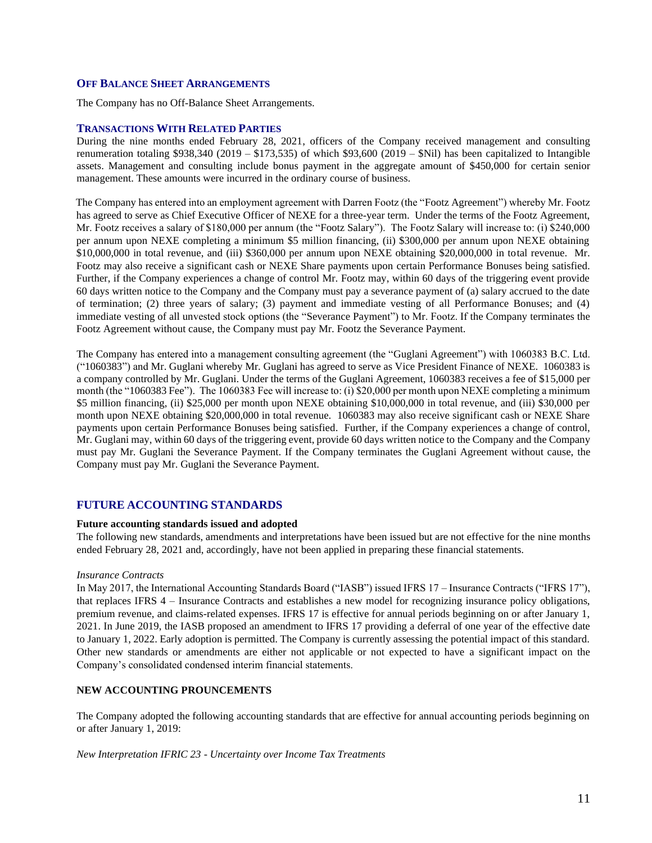#### <span id="page-10-0"></span>**OFF BALANCE SHEET ARRANGEMENTS**

The Company has no Off-Balance Sheet Arrangements.

## **TRANSACTIONS WITH RELATED PARTIES**

During the nine months ended February 28, 2021, officers of the Company received management and consulting renumeration totaling \$938,340 (2019 – \$173,535) of which \$93,600 (2019 – \$Nil) has been capitalized to Intangible assets. Management and consulting include bonus payment in the aggregate amount of \$450,000 for certain senior management. These amounts were incurred in the ordinary course of business.

The Company has entered into an employment agreement with Darren Footz (the "Footz Agreement") whereby Mr. Footz has agreed to serve as Chief Executive Officer of NEXE for a three-year term. Under the terms of the Footz Agreement, Mr. Footz receives a salary of \$180,000 per annum (the "Footz Salary"). The Footz Salary will increase to: (i) \$240,000 per annum upon NEXE completing a minimum \$5 million financing, (ii) \$300,000 per annum upon NEXE obtaining \$10,000,000 in total revenue, and (iii) \$360,000 per annum upon NEXE obtaining \$20,000,000 in total revenue. Mr. Footz may also receive a significant cash or NEXE Share payments upon certain Performance Bonuses being satisfied. Further, if the Company experiences a change of control Mr. Footz may, within 60 days of the triggering event provide 60 days written notice to the Company and the Company must pay a severance payment of (a) salary accrued to the date of termination; (2) three years of salary; (3) payment and immediate vesting of all Performance Bonuses; and (4) immediate vesting of all unvested stock options (the "Severance Payment") to Mr. Footz. If the Company terminates the Footz Agreement without cause, the Company must pay Mr. Footz the Severance Payment.

The Company has entered into a management consulting agreement (the "Guglani Agreement") with 1060383 B.C. Ltd. ("1060383") and Mr. Guglani whereby Mr. Guglani has agreed to serve as Vice President Finance of NEXE. 1060383 is a company controlled by Mr. Guglani. Under the terms of the Guglani Agreement, 1060383 receives a fee of \$15,000 per month (the "1060383 Fee"). The 1060383 Fee will increase to: (i) \$20,000 per month upon NEXE completing a minimum \$5 million financing, (ii) \$25,000 per month upon NEXE obtaining \$10,000,000 in total revenue, and (iii) \$30,000 per month upon NEXE obtaining \$20,000,000 in total revenue. 1060383 may also receive significant cash or NEXE Share payments upon certain Performance Bonuses being satisfied. Further, if the Company experiences a change of control, Mr. Guglani may, within 60 days of the triggering event, provide 60 days written notice to the Company and the Company must pay Mr. Guglani the Severance Payment. If the Company terminates the Guglani Agreement without cause, the Company must pay Mr. Guglani the Severance Payment.

## **FUTURE ACCOUNTING STANDARDS**

#### **Future accounting standards issued and adopted**

The following new standards, amendments and interpretations have been issued but are not effective for the nine months ended February 28, 2021 and, accordingly, have not been applied in preparing these financial statements.

#### *Insurance Contracts*

In May 2017, the International Accounting Standards Board ("IASB") issued IFRS 17 – Insurance Contracts ("IFRS 17"), that replaces IFRS 4 – Insurance Contracts and establishes a new model for recognizing insurance policy obligations, premium revenue, and claims-related expenses. IFRS 17 is effective for annual periods beginning on or after January 1, 2021. In June 2019, the IASB proposed an amendment to IFRS 17 providing a deferral of one year of the effective date to January 1, 2022. Early adoption is permitted. The Company is currently assessing the potential impact of this standard. Other new standards or amendments are either not applicable or not expected to have a significant impact on the Company's consolidated condensed interim financial statements.

#### **NEW ACCOUNTING PROUNCEMENTS**

The Company adopted the following accounting standards that are effective for annual accounting periods beginning on or after January 1, 2019:

*New Interpretation IFRIC 23 - Uncertainty over Income Tax Treatments*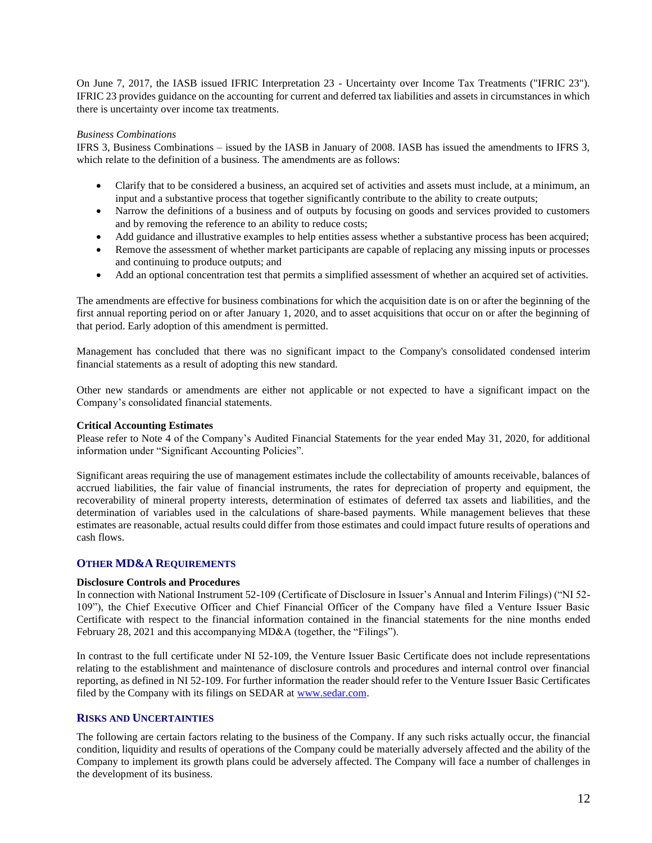On June 7, 2017, the IASB issued IFRIC Interpretation 23 - Uncertainty over Income Tax Treatments ("IFRIC 23"). IFRIC 23 provides guidance on the accounting for current and deferred tax liabilities and assets in circumstances in which there is uncertainty over income tax treatments.

#### *Business Combinations*

IFRS 3, Business Combinations – issued by the IASB in January of 2008. IASB has issued the amendments to IFRS 3, which relate to the definition of a business. The amendments are as follows:

- Clarify that to be considered a business, an acquired set of activities and assets must include, at a minimum, an input and a substantive process that together significantly contribute to the ability to create outputs;
- Narrow the definitions of a business and of outputs by focusing on goods and services provided to customers and by removing the reference to an ability to reduce costs;
- Add guidance and illustrative examples to help entities assess whether a substantive process has been acquired;
- Remove the assessment of whether market participants are capable of replacing any missing inputs or processes and continuing to produce outputs; and
- Add an optional concentration test that permits a simplified assessment of whether an acquired set of activities.

The amendments are effective for business combinations for which the acquisition date is on or after the beginning of the first annual reporting period on or after January 1, 2020, and to asset acquisitions that occur on or after the beginning of that period. Early adoption of this amendment is permitted.

Management has concluded that there was no significant impact to the Company's consolidated condensed interim financial statements as a result of adopting this new standard.

Other new standards or amendments are either not applicable or not expected to have a significant impact on the Company's consolidated financial statements.

#### **Critical Accounting Estimates**

Please refer to Note 4 of the Company's Audited Financial Statements for the year ended May 31, 2020, for additional information under "Significant Accounting Policies".

Significant areas requiring the use of management estimates include the collectability of amounts receivable, balances of accrued liabilities, the fair value of financial instruments, the rates for depreciation of property and equipment, the recoverability of mineral property interests, determination of estimates of deferred tax assets and liabilities, and the determination of variables used in the calculations of share-based payments. While management believes that these estimates are reasonable, actual results could differ from those estimates and could impact future results of operations and cash flows.

## <span id="page-11-0"></span>**OTHER MD&A REQUIREMENTS**

#### **Disclosure Controls and Procedures**

In connection with National Instrument 52-109 (Certificate of Disclosure in Issuer's Annual and Interim Filings) ("NI 52- 109"), the Chief Executive Officer and Chief Financial Officer of the Company have filed a Venture Issuer Basic Certificate with respect to the financial information contained in the financial statements for the nine months ended February 28, 2021 and this accompanying MD&A (together, the "Filings").

In contrast to the full certificate under NI 52-109, the Venture Issuer Basic Certificate does not include representations relating to the establishment and maintenance of disclosure controls and procedures and internal control over financial reporting, as defined in NI 52-109. For further information the reader should refer to the Venture Issuer Basic Certificates filed by the Company with its filings on SEDAR at [www.sedar.com.](http://www.sedar.com/)

## **RISKS AND UNCERTAINTIES**

The following are certain factors relating to the business of the Company. If any such risks actually occur, the financial condition, liquidity and results of operations of the Company could be materially adversely affected and the ability of the Company to implement its growth plans could be adversely affected. The Company will face a number of challenges in the development of its business.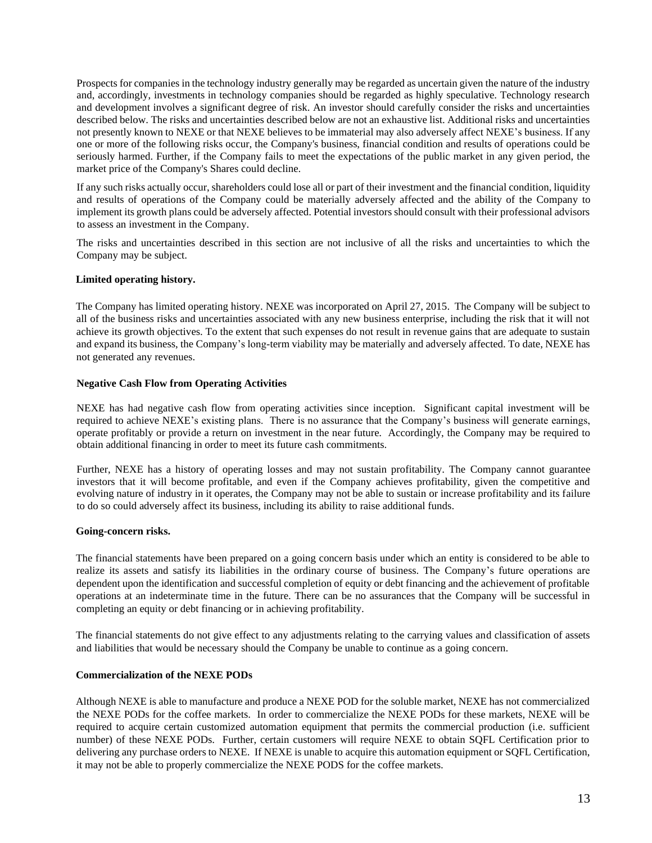Prospects for companies in the technology industry generally may be regarded as uncertain given the nature of the industry and, accordingly, investments in technology companies should be regarded as highly speculative. Technology research and development involves a significant degree of risk. An investor should carefully consider the risks and uncertainties described below. The risks and uncertainties described below are not an exhaustive list. Additional risks and uncertainties not presently known to NEXE or that NEXE believes to be immaterial may also adversely affect NEXE's business. If any one or more of the following risks occur, the Company's business, financial condition and results of operations could be seriously harmed. Further, if the Company fails to meet the expectations of the public market in any given period, the market price of the Company's Shares could decline.

If any such risks actually occur, shareholders could lose all or part of their investment and the financial condition, liquidity and results of operations of the Company could be materially adversely affected and the ability of the Company to implement its growth plans could be adversely affected. Potential investors should consult with their professional advisors to assess an investment in the Company.

The risks and uncertainties described in this section are not inclusive of all the risks and uncertainties to which the Company may be subject.

## **Limited operating history.**

The Company has limited operating history. NEXE was incorporated on April 27, 2015. The Company will be subject to all of the business risks and uncertainties associated with any new business enterprise, including the risk that it will not achieve its growth objectives. To the extent that such expenses do not result in revenue gains that are adequate to sustain and expand its business, the Company's long-term viability may be materially and adversely affected. To date, NEXE has not generated any revenues.

#### **Negative Cash Flow from Operating Activities**

NEXE has had negative cash flow from operating activities since inception. Significant capital investment will be required to achieve NEXE's existing plans. There is no assurance that the Company's business will generate earnings, operate profitably or provide a return on investment in the near future. Accordingly, the Company may be required to obtain additional financing in order to meet its future cash commitments.

Further, NEXE has a history of operating losses and may not sustain profitability. The Company cannot guarantee investors that it will become profitable, and even if the Company achieves profitability, given the competitive and evolving nature of industry in it operates, the Company may not be able to sustain or increase profitability and its failure to do so could adversely affect its business, including its ability to raise additional funds.

#### **Going-concern risks.**

The financial statements have been prepared on a going concern basis under which an entity is considered to be able to realize its assets and satisfy its liabilities in the ordinary course of business. The Company's future operations are dependent upon the identification and successful completion of equity or debt financing and the achievement of profitable operations at an indeterminate time in the future. There can be no assurances that the Company will be successful in completing an equity or debt financing or in achieving profitability.

The financial statements do not give effect to any adjustments relating to the carrying values and classification of assets and liabilities that would be necessary should the Company be unable to continue as a going concern.

#### **Commercialization of the NEXE PODs**

Although NEXE is able to manufacture and produce a NEXE POD for the soluble market, NEXE has not commercialized the NEXE PODs for the coffee markets. In order to commercialize the NEXE PODs for these markets, NEXE will be required to acquire certain customized automation equipment that permits the commercial production (i.e. sufficient number) of these NEXE PODs. Further, certain customers will require NEXE to obtain SQFL Certification prior to delivering any purchase orders to NEXE. If NEXE is unable to acquire this automation equipment or SQFL Certification, it may not be able to properly commercialize the NEXE PODS for the coffee markets.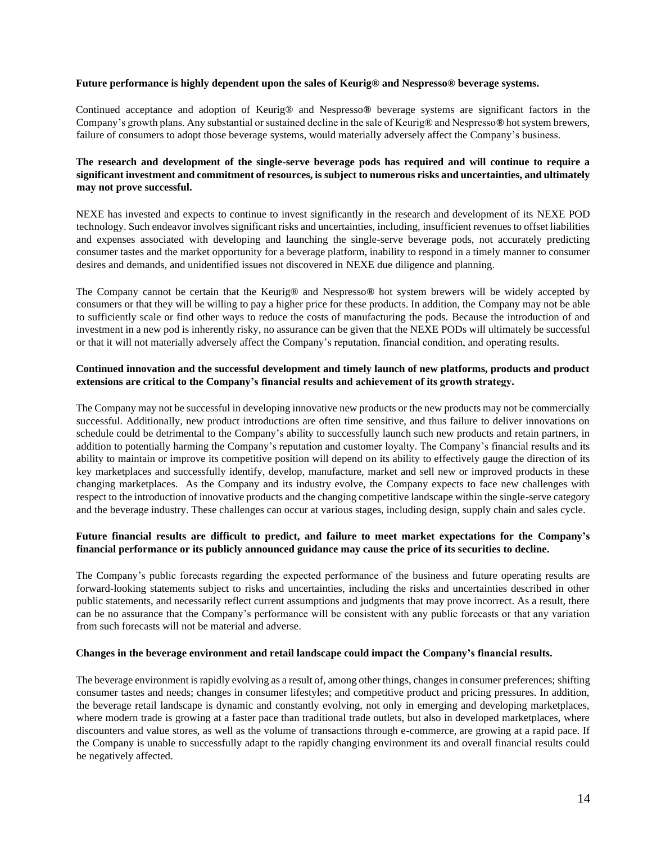#### **Future performance is highly dependent upon the sales of Keurig® and Nespresso® beverage systems.**

Continued acceptance and adoption of Keurig® and Nespresso**®** beverage systems are significant factors in the Company's growth plans. Any substantial or sustained decline in the sale of Keurig® and Nespresso**®**hot system brewers, failure of consumers to adopt those beverage systems, would materially adversely affect the Company's business.

# **The research and development of the single-serve beverage pods has required and will continue to require a significant investment and commitment of resources, is subject to numerous risks and uncertainties, and ultimately may not prove successful.**

NEXE has invested and expects to continue to invest significantly in the research and development of its NEXE POD technology. Such endeavor involves significant risks and uncertainties, including, insufficient revenues to offset liabilities and expenses associated with developing and launching the single-serve beverage pods, not accurately predicting consumer tastes and the market opportunity for a beverage platform, inability to respond in a timely manner to consumer desires and demands, and unidentified issues not discovered in NEXE due diligence and planning.

The Company cannot be certain that the Keurig® and Nespresso**®** hot system brewers will be widely accepted by consumers or that they will be willing to pay a higher price for these products. In addition, the Company may not be able to sufficiently scale or find other ways to reduce the costs of manufacturing the pods. Because the introduction of and investment in a new pod is inherently risky, no assurance can be given that the NEXE PODs will ultimately be successful or that it will not materially adversely affect the Company's reputation, financial condition, and operating results.

## **Continued innovation and the successful development and timely launch of new platforms, products and product extensions are critical to the Company's financial results and achievement of its growth strategy.**

The Company may not be successful in developing innovative new products or the new products may not be commercially successful. Additionally, new product introductions are often time sensitive, and thus failure to deliver innovations on schedule could be detrimental to the Company's ability to successfully launch such new products and retain partners, in addition to potentially harming the Company's reputation and customer loyalty. The Company's financial results and its ability to maintain or improve its competitive position will depend on its ability to effectively gauge the direction of its key marketplaces and successfully identify, develop, manufacture, market and sell new or improved products in these changing marketplaces. As the Company and its industry evolve, the Company expects to face new challenges with respect to the introduction of innovative products and the changing competitive landscape within the single-serve category and the beverage industry. These challenges can occur at various stages, including design, supply chain and sales cycle.

## **Future financial results are difficult to predict, and failure to meet market expectations for the Company's financial performance or its publicly announced guidance may cause the price of its securities to decline.**

The Company's public forecasts regarding the expected performance of the business and future operating results are forward-looking statements subject to risks and uncertainties, including the risks and uncertainties described in other public statements, and necessarily reflect current assumptions and judgments that may prove incorrect. As a result, there can be no assurance that the Company's performance will be consistent with any public forecasts or that any variation from such forecasts will not be material and adverse.

#### **Changes in the beverage environment and retail landscape could impact the Company's financial results.**

The beverage environment is rapidly evolving as a result of, among other things, changes in consumer preferences; shifting consumer tastes and needs; changes in consumer lifestyles; and competitive product and pricing pressures. In addition, the beverage retail landscape is dynamic and constantly evolving, not only in emerging and developing marketplaces, where modern trade is growing at a faster pace than traditional trade outlets, but also in developed marketplaces, where discounters and value stores, as well as the volume of transactions through e-commerce, are growing at a rapid pace. If the Company is unable to successfully adapt to the rapidly changing environment its and overall financial results could be negatively affected.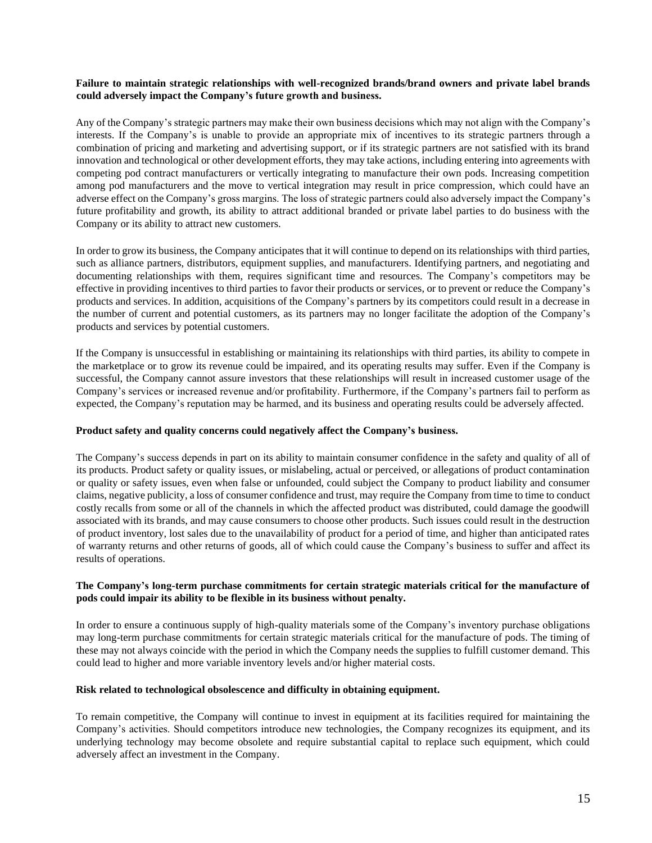#### **Failure to maintain strategic relationships with well-recognized brands/brand owners and private label brands could adversely impact the Company's future growth and business.**

Any of the Company's strategic partners may make their own business decisions which may not align with the Company's interests. If the Company's is unable to provide an appropriate mix of incentives to its strategic partners through a combination of pricing and marketing and advertising support, or if its strategic partners are not satisfied with its brand innovation and technological or other development efforts, they may take actions, including entering into agreements with competing pod contract manufacturers or vertically integrating to manufacture their own pods. Increasing competition among pod manufacturers and the move to vertical integration may result in price compression, which could have an adverse effect on the Company's gross margins. The loss of strategic partners could also adversely impact the Company's future profitability and growth, its ability to attract additional branded or private label parties to do business with the Company or its ability to attract new customers.

In order to grow its business, the Company anticipates that it will continue to depend on its relationships with third parties, such as alliance partners, distributors, equipment supplies, and manufacturers. Identifying partners, and negotiating and documenting relationships with them, requires significant time and resources. The Company's competitors may be effective in providing incentives to third parties to favor their products or services, or to prevent or reduce the Company's products and services. In addition, acquisitions of the Company's partners by its competitors could result in a decrease in the number of current and potential customers, as its partners may no longer facilitate the adoption of the Company's products and services by potential customers.

If the Company is unsuccessful in establishing or maintaining its relationships with third parties, its ability to compete in the marketplace or to grow its revenue could be impaired, and its operating results may suffer. Even if the Company is successful, the Company cannot assure investors that these relationships will result in increased customer usage of the Company's services or increased revenue and/or profitability. Furthermore, if the Company's partners fail to perform as expected, the Company's reputation may be harmed, and its business and operating results could be adversely affected.

## **Product safety and quality concerns could negatively affect the Company's business.**

The Company's success depends in part on its ability to maintain consumer confidence in the safety and quality of all of its products. Product safety or quality issues, or mislabeling, actual or perceived, or allegations of product contamination or quality or safety issues, even when false or unfounded, could subject the Company to product liability and consumer claims, negative publicity, a loss of consumer confidence and trust, may require the Company from time to time to conduct costly recalls from some or all of the channels in which the affected product was distributed, could damage the goodwill associated with its brands, and may cause consumers to choose other products. Such issues could result in the destruction of product inventory, lost sales due to the unavailability of product for a period of time, and higher than anticipated rates of warranty returns and other returns of goods, all of which could cause the Company's business to suffer and affect its results of operations.

## **The Company's long-term purchase commitments for certain strategic materials critical for the manufacture of pods could impair its ability to be flexible in its business without penalty.**

In order to ensure a continuous supply of high-quality materials some of the Company's inventory purchase obligations may long-term purchase commitments for certain strategic materials critical for the manufacture of pods. The timing of these may not always coincide with the period in which the Company needs the supplies to fulfill customer demand. This could lead to higher and more variable inventory levels and/or higher material costs.

#### **Risk related to technological obsolescence and difficulty in obtaining equipment.**

To remain competitive, the Company will continue to invest in equipment at its facilities required for maintaining the Company's activities. Should competitors introduce new technologies, the Company recognizes its equipment, and its underlying technology may become obsolete and require substantial capital to replace such equipment, which could adversely affect an investment in the Company.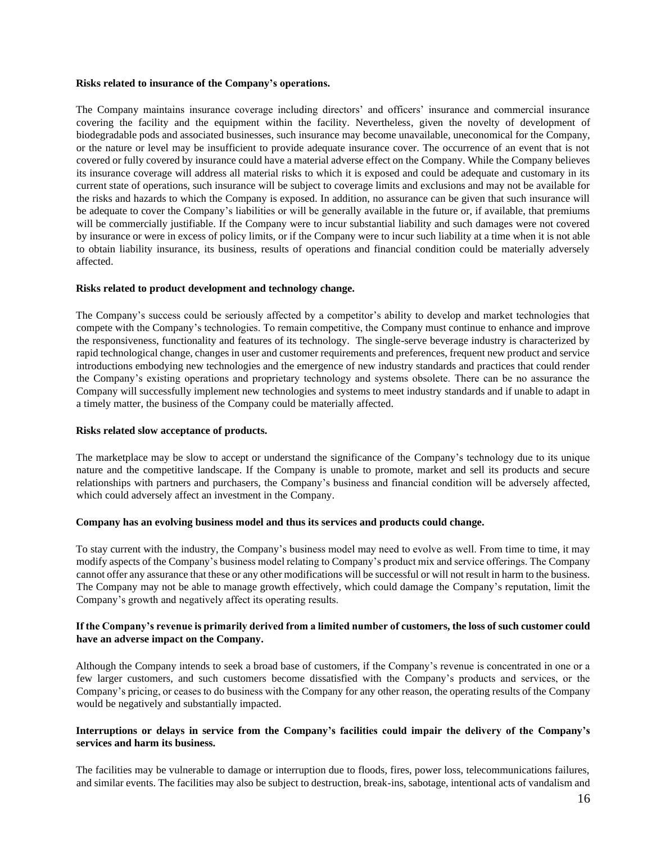#### **Risks related to insurance of the Company's operations.**

The Company maintains insurance coverage including directors' and officers' insurance and commercial insurance covering the facility and the equipment within the facility. Nevertheless, given the novelty of development of biodegradable pods and associated businesses, such insurance may become unavailable, uneconomical for the Company, or the nature or level may be insufficient to provide adequate insurance cover. The occurrence of an event that is not covered or fully covered by insurance could have a material adverse effect on the Company. While the Company believes its insurance coverage will address all material risks to which it is exposed and could be adequate and customary in its current state of operations, such insurance will be subject to coverage limits and exclusions and may not be available for the risks and hazards to which the Company is exposed. In addition, no assurance can be given that such insurance will be adequate to cover the Company's liabilities or will be generally available in the future or, if available, that premiums will be commercially justifiable. If the Company were to incur substantial liability and such damages were not covered by insurance or were in excess of policy limits, or if the Company were to incur such liability at a time when it is not able to obtain liability insurance, its business, results of operations and financial condition could be materially adversely affected.

#### **Risks related to product development and technology change.**

The Company's success could be seriously affected by a competitor's ability to develop and market technologies that compete with the Company's technologies. To remain competitive, the Company must continue to enhance and improve the responsiveness, functionality and features of its technology. The single-serve beverage industry is characterized by rapid technological change, changes in user and customer requirements and preferences, frequent new product and service introductions embodying new technologies and the emergence of new industry standards and practices that could render the Company's existing operations and proprietary technology and systems obsolete. There can be no assurance the Company will successfully implement new technologies and systems to meet industry standards and if unable to adapt in a timely matter, the business of the Company could be materially affected.

#### **Risks related slow acceptance of products.**

The marketplace may be slow to accept or understand the significance of the Company's technology due to its unique nature and the competitive landscape. If the Company is unable to promote, market and sell its products and secure relationships with partners and purchasers, the Company's business and financial condition will be adversely affected, which could adversely affect an investment in the Company.

#### **Company has an evolving business model and thus its services and products could change.**

To stay current with the industry, the Company's business model may need to evolve as well. From time to time, it may modify aspects of the Company's business model relating to Company's product mix and service offerings. The Company cannot offer any assurance that these or any other modifications will be successful or will not result in harm to the business. The Company may not be able to manage growth effectively, which could damage the Company's reputation, limit the Company's growth and negatively affect its operating results.

#### **If the Company's revenue is primarily derived from a limited number of customers, the loss of such customer could have an adverse impact on the Company.**

Although the Company intends to seek a broad base of customers, if the Company's revenue is concentrated in one or a few larger customers, and such customers become dissatisfied with the Company's products and services, or the Company's pricing, or ceases to do business with the Company for any other reason, the operating results of the Company would be negatively and substantially impacted.

## **Interruptions or delays in service from the Company's facilities could impair the delivery of the Company's services and harm its business.**

The facilities may be vulnerable to damage or interruption due to floods, fires, power loss, telecommunications failures, and similar events. The facilities may also be subject to destruction, break-ins, sabotage, intentional acts of vandalism and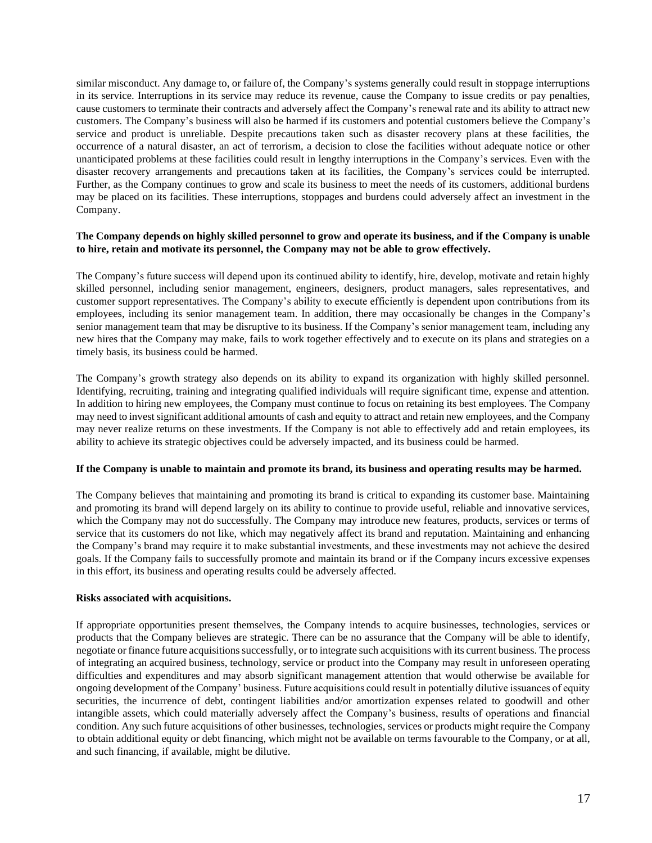similar misconduct. Any damage to, or failure of, the Company's systems generally could result in stoppage interruptions in its service. Interruptions in its service may reduce its revenue, cause the Company to issue credits or pay penalties, cause customers to terminate their contracts and adversely affect the Company's renewal rate and its ability to attract new customers. The Company's business will also be harmed if its customers and potential customers believe the Company's service and product is unreliable. Despite precautions taken such as disaster recovery plans at these facilities, the occurrence of a natural disaster, an act of terrorism, a decision to close the facilities without adequate notice or other unanticipated problems at these facilities could result in lengthy interruptions in the Company's services. Even with the disaster recovery arrangements and precautions taken at its facilities, the Company's services could be interrupted. Further, as the Company continues to grow and scale its business to meet the needs of its customers, additional burdens may be placed on its facilities. These interruptions, stoppages and burdens could adversely affect an investment in the Company.

#### **The Company depends on highly skilled personnel to grow and operate its business, and if the Company is unable to hire, retain and motivate its personnel, the Company may not be able to grow effectively.**

The Company's future success will depend upon its continued ability to identify, hire, develop, motivate and retain highly skilled personnel, including senior management, engineers, designers, product managers, sales representatives, and customer support representatives. The Company's ability to execute efficiently is dependent upon contributions from its employees, including its senior management team. In addition, there may occasionally be changes in the Company's senior management team that may be disruptive to its business. If the Company's senior management team, including any new hires that the Company may make, fails to work together effectively and to execute on its plans and strategies on a timely basis, its business could be harmed.

The Company's growth strategy also depends on its ability to expand its organization with highly skilled personnel. Identifying, recruiting, training and integrating qualified individuals will require significant time, expense and attention. In addition to hiring new employees, the Company must continue to focus on retaining its best employees. The Company may need to invest significant additional amounts of cash and equity to attract and retain new employees, and the Company may never realize returns on these investments. If the Company is not able to effectively add and retain employees, its ability to achieve its strategic objectives could be adversely impacted, and its business could be harmed.

#### **If the Company is unable to maintain and promote its brand, its business and operating results may be harmed.**

The Company believes that maintaining and promoting its brand is critical to expanding its customer base. Maintaining and promoting its brand will depend largely on its ability to continue to provide useful, reliable and innovative services, which the Company may not do successfully. The Company may introduce new features, products, services or terms of service that its customers do not like, which may negatively affect its brand and reputation. Maintaining and enhancing the Company's brand may require it to make substantial investments, and these investments may not achieve the desired goals. If the Company fails to successfully promote and maintain its brand or if the Company incurs excessive expenses in this effort, its business and operating results could be adversely affected.

## **Risks associated with acquisitions.**

If appropriate opportunities present themselves, the Company intends to acquire businesses, technologies, services or products that the Company believes are strategic. There can be no assurance that the Company will be able to identify, negotiate or finance future acquisitions successfully, or to integrate such acquisitions with its current business. The process of integrating an acquired business, technology, service or product into the Company may result in unforeseen operating difficulties and expenditures and may absorb significant management attention that would otherwise be available for ongoing development of the Company' business. Future acquisitions could result in potentially dilutive issuances of equity securities, the incurrence of debt, contingent liabilities and/or amortization expenses related to goodwill and other intangible assets, which could materially adversely affect the Company's business, results of operations and financial condition. Any such future acquisitions of other businesses, technologies, services or products might require the Company to obtain additional equity or debt financing, which might not be available on terms favourable to the Company, or at all, and such financing, if available, might be dilutive.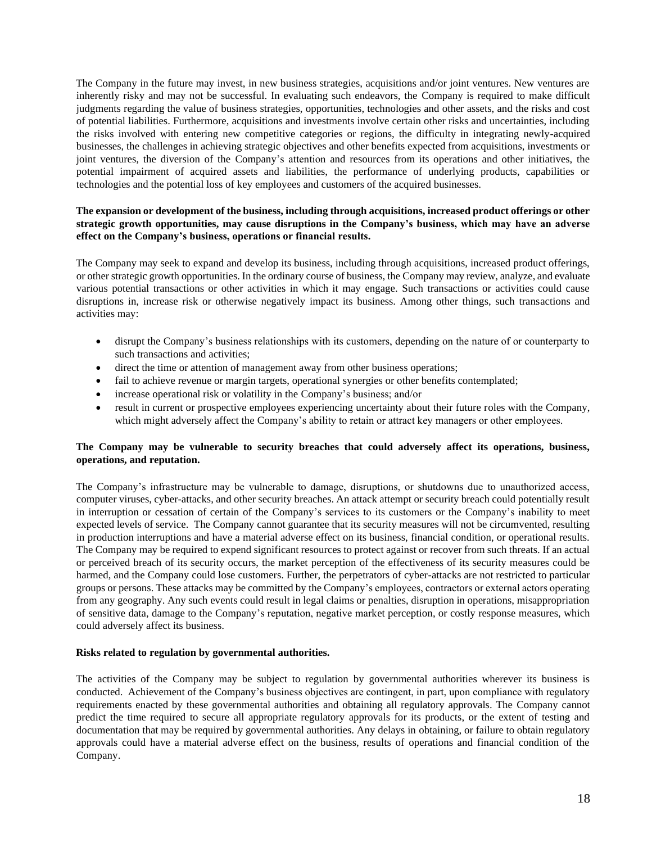The Company in the future may invest, in new business strategies, acquisitions and/or joint ventures. New ventures are inherently risky and may not be successful. In evaluating such endeavors, the Company is required to make difficult judgments regarding the value of business strategies, opportunities, technologies and other assets, and the risks and cost of potential liabilities. Furthermore, acquisitions and investments involve certain other risks and uncertainties, including the risks involved with entering new competitive categories or regions, the difficulty in integrating newly-acquired businesses, the challenges in achieving strategic objectives and other benefits expected from acquisitions, investments or joint ventures, the diversion of the Company's attention and resources from its operations and other initiatives, the potential impairment of acquired assets and liabilities, the performance of underlying products, capabilities or technologies and the potential loss of key employees and customers of the acquired businesses.

# **The expansion or development of the business, including through acquisitions, increased product offerings or other strategic growth opportunities, may cause disruptions in the Company's business, which may have an adverse effect on the Company's business, operations or financial results.**

The Company may seek to expand and develop its business, including through acquisitions, increased product offerings, or other strategic growth opportunities. In the ordinary course of business, the Company may review, analyze, and evaluate various potential transactions or other activities in which it may engage. Such transactions or activities could cause disruptions in, increase risk or otherwise negatively impact its business. Among other things, such transactions and activities may:

- disrupt the Company's business relationships with its customers, depending on the nature of or counterparty to such transactions and activities;
- direct the time or attention of management away from other business operations;
- fail to achieve revenue or margin targets, operational synergies or other benefits contemplated;
- increase operational risk or volatility in the Company's business; and/or
- result in current or prospective employees experiencing uncertainty about their future roles with the Company, which might adversely affect the Company's ability to retain or attract key managers or other employees.

## **The Company may be vulnerable to security breaches that could adversely affect its operations, business, operations, and reputation.**

The Company's infrastructure may be vulnerable to damage, disruptions, or shutdowns due to unauthorized access, computer viruses, cyber-attacks, and other security breaches. An attack attempt or security breach could potentially result in interruption or cessation of certain of the Company's services to its customers or the Company's inability to meet expected levels of service. The Company cannot guarantee that its security measures will not be circumvented, resulting in production interruptions and have a material adverse effect on its business, financial condition, or operational results. The Company may be required to expend significant resources to protect against or recover from such threats. If an actual or perceived breach of its security occurs, the market perception of the effectiveness of its security measures could be harmed, and the Company could lose customers. Further, the perpetrators of cyber-attacks are not restricted to particular groups or persons. These attacks may be committed by the Company's employees, contractors or external actors operating from any geography. Any such events could result in legal claims or penalties, disruption in operations, misappropriation of sensitive data, damage to the Company's reputation, negative market perception, or costly response measures, which could adversely affect its business.

#### **Risks related to regulation by governmental authorities.**

The activities of the Company may be subject to regulation by governmental authorities wherever its business is conducted. Achievement of the Company's business objectives are contingent, in part, upon compliance with regulatory requirements enacted by these governmental authorities and obtaining all regulatory approvals. The Company cannot predict the time required to secure all appropriate regulatory approvals for its products, or the extent of testing and documentation that may be required by governmental authorities. Any delays in obtaining, or failure to obtain regulatory approvals could have a material adverse effect on the business, results of operations and financial condition of the Company.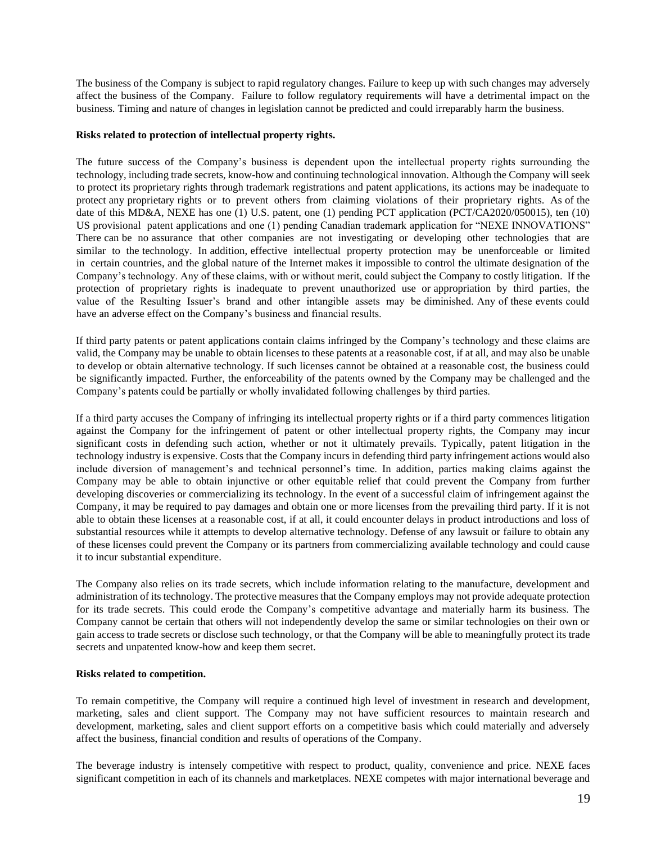The business of the Company is subject to rapid regulatory changes. Failure to keep up with such changes may adversely affect the business of the Company. Failure to follow regulatory requirements will have a detrimental impact on the business. Timing and nature of changes in legislation cannot be predicted and could irreparably harm the business.

#### **Risks related to protection of intellectual property rights.**

The future success of the Company's business is dependent upon the intellectual property rights surrounding the technology, including trade secrets, know-how and continuing technological innovation. Although the Company will seek to protect its proprietary rights through trademark registrations and patent applications, its actions may be inadequate to protect any proprietary rights or to prevent others from claiming violations of their proprietary rights. As of the date of this MD&A, NEXE has one (1) U.S. patent, one (1) pending PCT application (PCT/CA2020/050015), ten (10) US provisional patent applications and one (1) pending Canadian trademark application for "NEXE INNOVATIONS" There can be no assurance that other companies are not investigating or developing other technologies that are similar to the technology. In addition, effective intellectual property protection may be unenforceable or limited in certain countries, and the global nature of the Internet makes it impossible to control the ultimate designation of the Company's technology. Any of these claims, with or without merit, could subject the Company to costly litigation. If the protection of proprietary rights is inadequate to prevent unauthorized use or appropriation by third parties, the value of the Resulting Issuer's brand and other intangible assets may be diminished. Any of these events could have an adverse effect on the Company's business and financial results.

If third party patents or patent applications contain claims infringed by the Company's technology and these claims are valid, the Company may be unable to obtain licenses to these patents at a reasonable cost, if at all, and may also be unable to develop or obtain alternative technology. If such licenses cannot be obtained at a reasonable cost, the business could be significantly impacted. Further, the enforceability of the patents owned by the Company may be challenged and the Company's patents could be partially or wholly invalidated following challenges by third parties.

If a third party accuses the Company of infringing its intellectual property rights or if a third party commences litigation against the Company for the infringement of patent or other intellectual property rights, the Company may incur significant costs in defending such action, whether or not it ultimately prevails. Typically, patent litigation in the technology industry is expensive. Costs that the Company incurs in defending third party infringement actions would also include diversion of management's and technical personnel's time. In addition, parties making claims against the Company may be able to obtain injunctive or other equitable relief that could prevent the Company from further developing discoveries or commercializing its technology. In the event of a successful claim of infringement against the Company, it may be required to pay damages and obtain one or more licenses from the prevailing third party. If it is not able to obtain these licenses at a reasonable cost, if at all, it could encounter delays in product introductions and loss of substantial resources while it attempts to develop alternative technology. Defense of any lawsuit or failure to obtain any of these licenses could prevent the Company or its partners from commercializing available technology and could cause it to incur substantial expenditure.

The Company also relies on its trade secrets, which include information relating to the manufacture, development and administration of its technology. The protective measures that the Company employs may not provide adequate protection for its trade secrets. This could erode the Company's competitive advantage and materially harm its business. The Company cannot be certain that others will not independently develop the same or similar technologies on their own or gain access to trade secrets or disclose such technology, or that the Company will be able to meaningfully protect its trade secrets and unpatented know-how and keep them secret.

#### **Risks related to competition.**

To remain competitive, the Company will require a continued high level of investment in research and development, marketing, sales and client support. The Company may not have sufficient resources to maintain research and development, marketing, sales and client support efforts on a competitive basis which could materially and adversely affect the business, financial condition and results of operations of the Company.

The beverage industry is intensely competitive with respect to product, quality, convenience and price. NEXE faces significant competition in each of its channels and marketplaces. NEXE competes with major international beverage and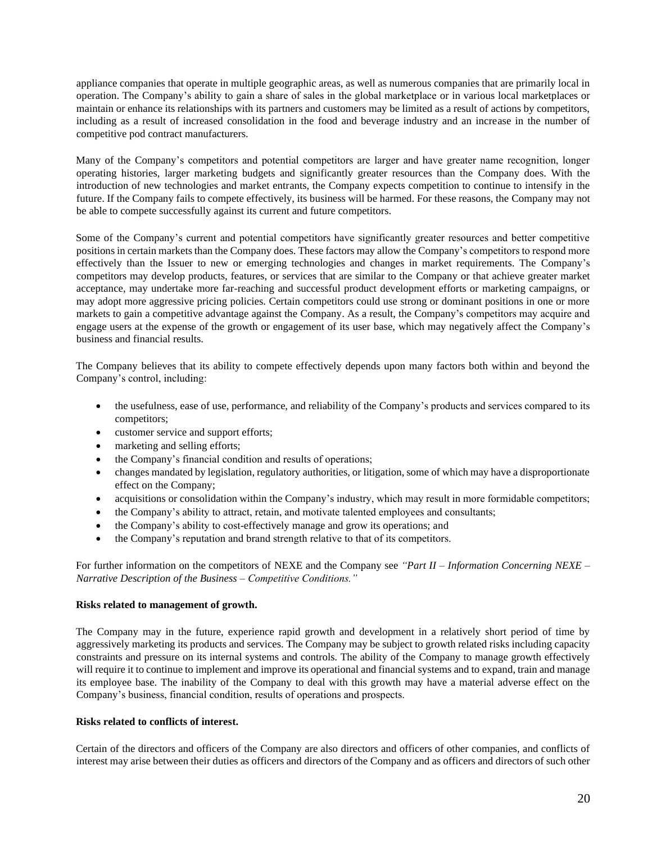appliance companies that operate in multiple geographic areas, as well as numerous companies that are primarily local in operation. The Company's ability to gain a share of sales in the global marketplace or in various local marketplaces or maintain or enhance its relationships with its partners and customers may be limited as a result of actions by competitors, including as a result of increased consolidation in the food and beverage industry and an increase in the number of competitive pod contract manufacturers.

Many of the Company's competitors and potential competitors are larger and have greater name recognition, longer operating histories, larger marketing budgets and significantly greater resources than the Company does. With the introduction of new technologies and market entrants, the Company expects competition to continue to intensify in the future. If the Company fails to compete effectively, its business will be harmed. For these reasons, the Company may not be able to compete successfully against its current and future competitors.

Some of the Company's current and potential competitors have significantly greater resources and better competitive positions in certain markets than the Company does. These factors may allow the Company's competitors to respond more effectively than the Issuer to new or emerging technologies and changes in market requirements. The Company's competitors may develop products, features, or services that are similar to the Company or that achieve greater market acceptance, may undertake more far-reaching and successful product development efforts or marketing campaigns, or may adopt more aggressive pricing policies. Certain competitors could use strong or dominant positions in one or more markets to gain a competitive advantage against the Company. As a result, the Company's competitors may acquire and engage users at the expense of the growth or engagement of its user base, which may negatively affect the Company's business and financial results.

The Company believes that its ability to compete effectively depends upon many factors both within and beyond the Company's control, including:

- the usefulness, ease of use, performance, and reliability of the Company's products and services compared to its competitors;
- customer service and support efforts;
- marketing and selling efforts;
- the Company's financial condition and results of operations;
- changes mandated by legislation, regulatory authorities, or litigation, some of which may have a disproportionate effect on the Company;
- acquisitions or consolidation within the Company's industry, which may result in more formidable competitors;
- the Company's ability to attract, retain, and motivate talented employees and consultants;
- the Company's ability to cost-effectively manage and grow its operations; and
- the Company's reputation and brand strength relative to that of its competitors.

For further information on the competitors of NEXE and the Company see *"Part II* – *Information Concerning NEXE – Narrative Description of the Business – Competitive Conditions."*

## **Risks related to management of growth.**

The Company may in the future, experience rapid growth and development in a relatively short period of time by aggressively marketing its products and services. The Company may be subject to growth related risks including capacity constraints and pressure on its internal systems and controls. The ability of the Company to manage growth effectively will require it to continue to implement and improve its operational and financial systems and to expand, train and manage its employee base. The inability of the Company to deal with this growth may have a material adverse effect on the Company's business, financial condition, results of operations and prospects.

## **Risks related to conflicts of interest.**

Certain of the directors and officers of the Company are also directors and officers of other companies, and conflicts of interest may arise between their duties as officers and directors of the Company and as officers and directors of such other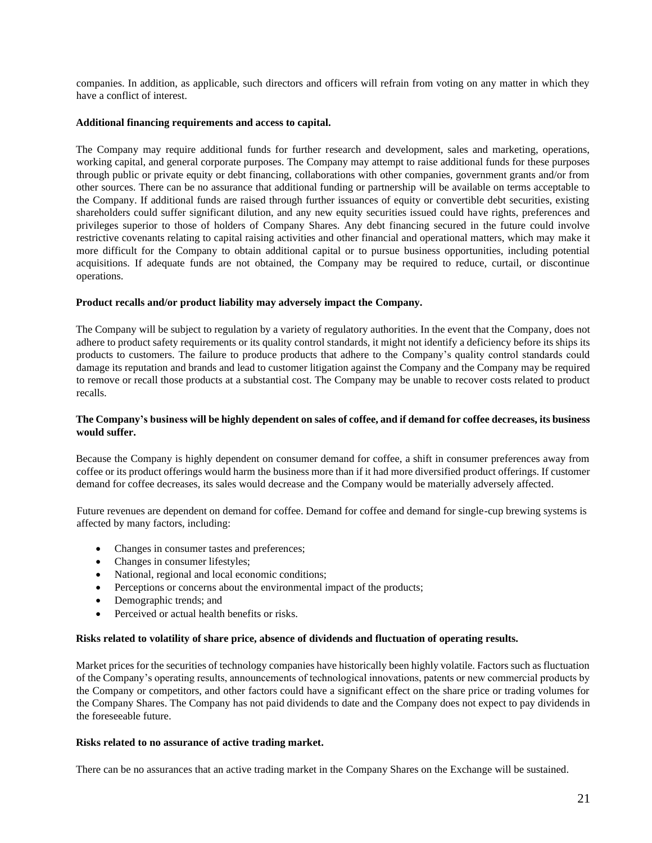companies. In addition, as applicable, such directors and officers will refrain from voting on any matter in which they have a conflict of interest.

#### **Additional financing requirements and access to capital.**

The Company may require additional funds for further research and development, sales and marketing, operations, working capital, and general corporate purposes. The Company may attempt to raise additional funds for these purposes through public or private equity or debt financing, collaborations with other companies, government grants and/or from other sources. There can be no assurance that additional funding or partnership will be available on terms acceptable to the Company. If additional funds are raised through further issuances of equity or convertible debt securities, existing shareholders could suffer significant dilution, and any new equity securities issued could have rights, preferences and privileges superior to those of holders of Company Shares. Any debt financing secured in the future could involve restrictive covenants relating to capital raising activities and other financial and operational matters, which may make it more difficult for the Company to obtain additional capital or to pursue business opportunities, including potential acquisitions. If adequate funds are not obtained, the Company may be required to reduce, curtail, or discontinue operations.

#### **Product recalls and/or product liability may adversely impact the Company.**

The Company will be subject to regulation by a variety of regulatory authorities. In the event that the Company, does not adhere to product safety requirements or its quality control standards, it might not identify a deficiency before its ships its products to customers. The failure to produce products that adhere to the Company's quality control standards could damage its reputation and brands and lead to customer litigation against the Company and the Company may be required to remove or recall those products at a substantial cost. The Company may be unable to recover costs related to product recalls.

#### **The Company's business will be highly dependent on sales of coffee, and if demand for coffee decreases, its business would suffer.**

Because the Company is highly dependent on consumer demand for coffee, a shift in consumer preferences away from coffee or its product offerings would harm the business more than if it had more diversified product offerings. If customer demand for coffee decreases, its sales would decrease and the Company would be materially adversely affected.

Future revenues are dependent on demand for coffee. Demand for coffee and demand for single-cup brewing systems is affected by many factors, including:

- Changes in consumer tastes and preferences;
- Changes in consumer lifestyles;
- National, regional and local economic conditions;
- Perceptions or concerns about the environmental impact of the products;
- Demographic trends; and
- Perceived or actual health benefits or risks.

#### **Risks related to volatility of share price, absence of dividends and fluctuation of operating results.**

Market prices for the securities of technology companies have historically been highly volatile. Factors such as fluctuation of the Company's operating results, announcements of technological innovations, patents or new commercial products by the Company or competitors, and other factors could have a significant effect on the share price or trading volumes for the Company Shares. The Company has not paid dividends to date and the Company does not expect to pay dividends in the foreseeable future.

#### **Risks related to no assurance of active trading market.**

There can be no assurances that an active trading market in the Company Shares on the Exchange will be sustained.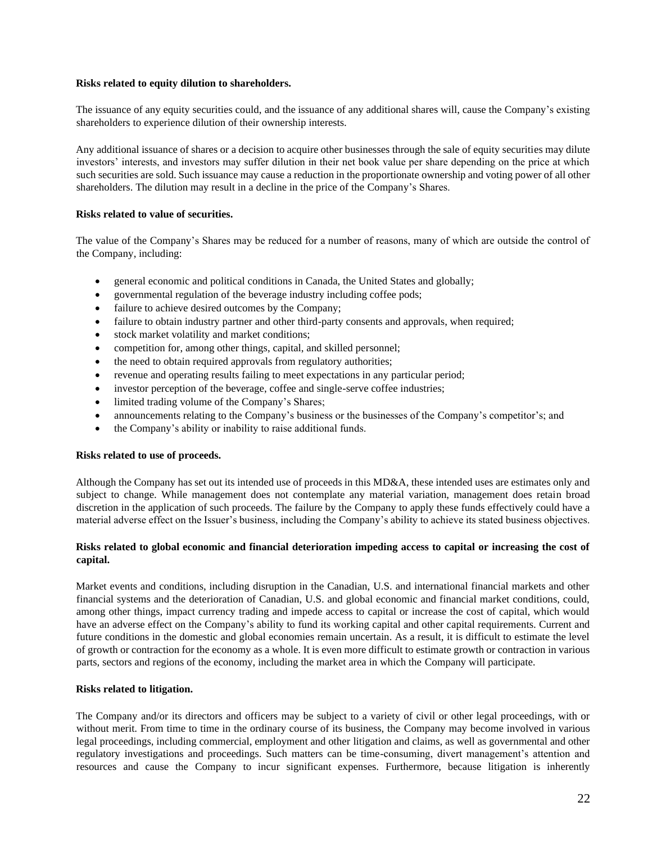#### **Risks related to equity dilution to shareholders.**

The issuance of any equity securities could, and the issuance of any additional shares will, cause the Company's existing shareholders to experience dilution of their ownership interests.

Any additional issuance of shares or a decision to acquire other businesses through the sale of equity securities may dilute investors' interests, and investors may suffer dilution in their net book value per share depending on the price at which such securities are sold. Such issuance may cause a reduction in the proportionate ownership and voting power of all other shareholders. The dilution may result in a decline in the price of the Company's Shares.

## **Risks related to value of securities.**

The value of the Company's Shares may be reduced for a number of reasons, many of which are outside the control of the Company, including:

- general economic and political conditions in Canada, the United States and globally;
- governmental regulation of the beverage industry including coffee pods;
- failure to achieve desired outcomes by the Company;
- failure to obtain industry partner and other third-party consents and approvals, when required;
- stock market volatility and market conditions;
- competition for, among other things, capital, and skilled personnel;
- the need to obtain required approvals from regulatory authorities;
- revenue and operating results failing to meet expectations in any particular period;
- investor perception of the beverage, coffee and single-serve coffee industries;
- limited trading volume of the Company's Shares;
- announcements relating to the Company's business or the businesses of the Company's competitor's; and
- the Company's ability or inability to raise additional funds.

#### **Risks related to use of proceeds.**

Although the Company has set out its intended use of proceeds in this MD&A, these intended uses are estimates only and subject to change. While management does not contemplate any material variation, management does retain broad discretion in the application of such proceeds. The failure by the Company to apply these funds effectively could have a material adverse effect on the Issuer's business, including the Company's ability to achieve its stated business objectives.

## **Risks related to global economic and financial deterioration impeding access to capital or increasing the cost of capital.**

Market events and conditions, including disruption in the Canadian, U.S. and international financial markets and other financial systems and the deterioration of Canadian, U.S. and global economic and financial market conditions, could, among other things, impact currency trading and impede access to capital or increase the cost of capital, which would have an adverse effect on the Company's ability to fund its working capital and other capital requirements. Current and future conditions in the domestic and global economies remain uncertain. As a result, it is difficult to estimate the level of growth or contraction for the economy as a whole. It is even more difficult to estimate growth or contraction in various parts, sectors and regions of the economy, including the market area in which the Company will participate.

#### **Risks related to litigation.**

The Company and/or its directors and officers may be subject to a variety of civil or other legal proceedings, with or without merit. From time to time in the ordinary course of its business, the Company may become involved in various legal proceedings, including commercial, employment and other litigation and claims, as well as governmental and other regulatory investigations and proceedings. Such matters can be time-consuming, divert management's attention and resources and cause the Company to incur significant expenses. Furthermore, because litigation is inherently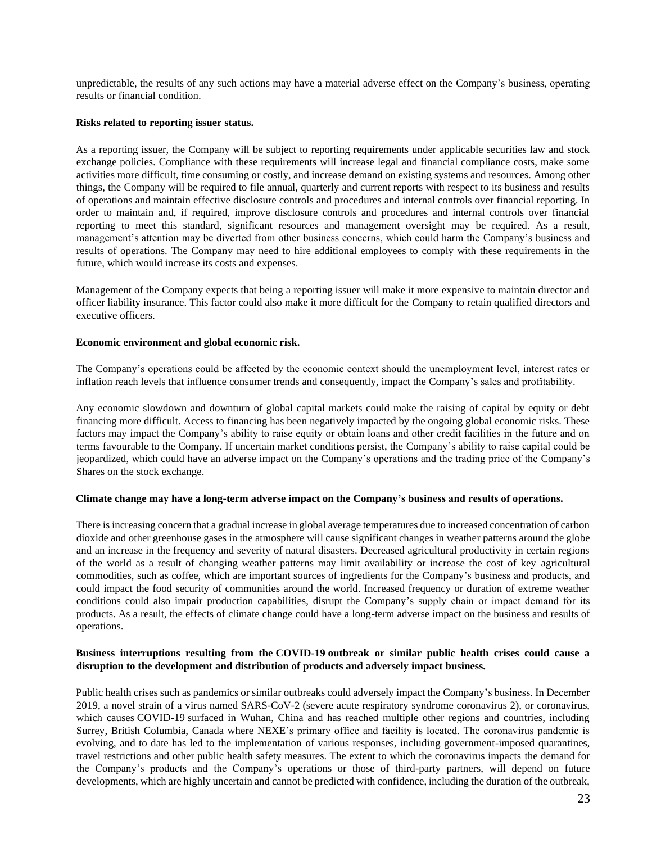unpredictable, the results of any such actions may have a material adverse effect on the Company's business, operating results or financial condition.

#### **Risks related to reporting issuer status.**

As a reporting issuer, the Company will be subject to reporting requirements under applicable securities law and stock exchange policies. Compliance with these requirements will increase legal and financial compliance costs, make some activities more difficult, time consuming or costly, and increase demand on existing systems and resources. Among other things, the Company will be required to file annual, quarterly and current reports with respect to its business and results of operations and maintain effective disclosure controls and procedures and internal controls over financial reporting. In order to maintain and, if required, improve disclosure controls and procedures and internal controls over financial reporting to meet this standard, significant resources and management oversight may be required. As a result, management's attention may be diverted from other business concerns, which could harm the Company's business and results of operations. The Company may need to hire additional employees to comply with these requirements in the future, which would increase its costs and expenses.

Management of the Company expects that being a reporting issuer will make it more expensive to maintain director and officer liability insurance. This factor could also make it more difficult for the Company to retain qualified directors and executive officers.

#### **Economic environment and global economic risk.**

The Company's operations could be affected by the economic context should the unemployment level, interest rates or inflation reach levels that influence consumer trends and consequently, impact the Company's sales and profitability.

Any economic slowdown and downturn of global capital markets could make the raising of capital by equity or debt financing more difficult. Access to financing has been negatively impacted by the ongoing global economic risks. These factors may impact the Company's ability to raise equity or obtain loans and other credit facilities in the future and on terms favourable to the Company. If uncertain market conditions persist, the Company's ability to raise capital could be jeopardized, which could have an adverse impact on the Company's operations and the trading price of the Company's Shares on the stock exchange.

#### **Climate change may have a long-term adverse impact on the Company's business and results of operations.**

There is increasing concern that a gradual increase in global average temperatures due to increased concentration of carbon dioxide and other greenhouse gases in the atmosphere will cause significant changes in weather patterns around the globe and an increase in the frequency and severity of natural disasters. Decreased agricultural productivity in certain regions of the world as a result of changing weather patterns may limit availability or increase the cost of key agricultural commodities, such as coffee, which are important sources of ingredients for the Company's business and products, and could impact the food security of communities around the world. Increased frequency or duration of extreme weather conditions could also impair production capabilities, disrupt the Company's supply chain or impact demand for its products. As a result, the effects of climate change could have a long-term adverse impact on the business and results of operations.

#### **Business interruptions resulting from the COVID-19 outbreak or similar public health crises could cause a disruption to the development and distribution of products and adversely impact business.**

Public health crises such as pandemics or similar outbreaks could adversely impact the Company's business. In December 2019, a novel strain of a virus named SARS-CoV-2 (severe acute respiratory syndrome coronavirus 2), or coronavirus, which causes COVID-19 surfaced in Wuhan, China and has reached multiple other regions and countries, including Surrey, British Columbia, Canada where NEXE's primary office and facility is located. The coronavirus pandemic is evolving, and to date has led to the implementation of various responses, including government-imposed quarantines, travel restrictions and other public health safety measures. The extent to which the coronavirus impacts the demand for the Company's products and the Company's operations or those of third-party partners, will depend on future developments, which are highly uncertain and cannot be predicted with confidence, including the duration of the outbreak,